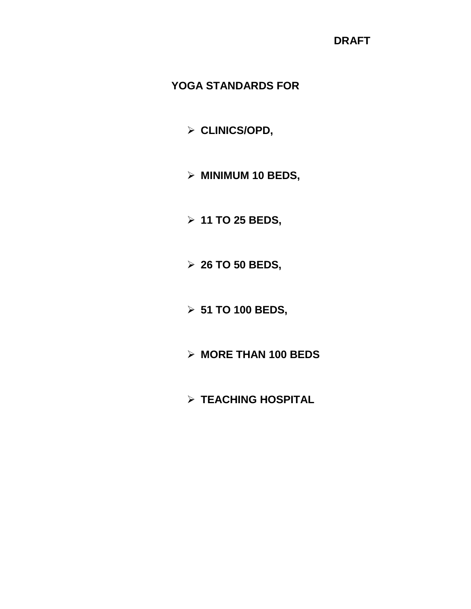# **YOGA STANDARDS FOR**

- **CLINICS/OPD,**
- **MINIMUM 10 BEDS,**
- **11 TO 25 BEDS,**
- **26 TO 50 BEDS,**
- **51 TO 100 BEDS,**
- **MORE THAN 100 BEDS**
- **TEACHING HOSPITAL**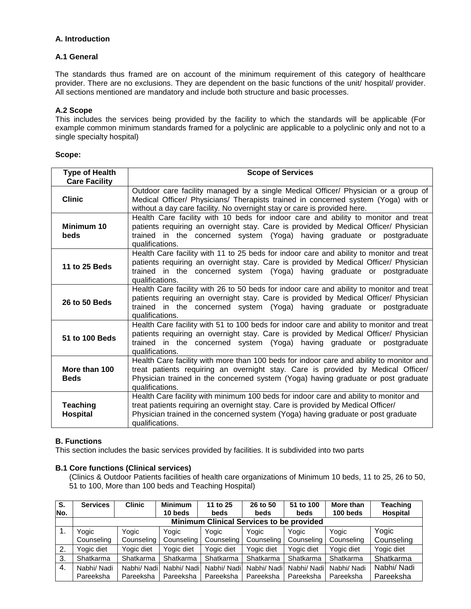## **A. Introduction**

## **A.1 General**

The standards thus framed are on account of the minimum requirement of this category of healthcare provider. There are no exclusions. They are dependent on the basic functions of the unit/ hospital/ provider. All sections mentioned are mandatory and include both structure and basic processes.

## **A.2 Scope**

This includes the services being provided by the facility to which the standards will be applicable (For example common minimum standards framed for a polyclinic are applicable to a polyclinic only and not to a single specialty hospital)

### **Scope:**

| <b>Type of Health</b>        | <b>Scope of Services</b>                                                                                                                                                                                                                                                            |
|------------------------------|-------------------------------------------------------------------------------------------------------------------------------------------------------------------------------------------------------------------------------------------------------------------------------------|
| <b>Care Facility</b>         |                                                                                                                                                                                                                                                                                     |
| <b>Clinic</b>                | Outdoor care facility managed by a single Medical Officer/ Physician or a group of<br>Medical Officer/ Physicians/ Therapists trained in concerned system (Yoga) with or<br>without a day care facility. No overnight stay or care is provided here.                                |
| Minimum 10<br><b>beds</b>    | Health Care facility with 10 beds for indoor care and ability to monitor and treat<br>patients requiring an overnight stay. Care is provided by Medical Officer/ Physician<br>trained in the concerned system (Yoga) having graduate or postgraduate<br>qualifications.             |
| 11 to 25 Beds                | Health Care facility with 11 to 25 beds for indoor care and ability to monitor and treat<br>patients requiring an overnight stay. Care is provided by Medical Officer/ Physician<br>trained in the concerned system (Yoga) having graduate or postgraduate<br>qualifications.       |
| 26 to 50 Beds                | Health Care facility with 26 to 50 beds for indoor care and ability to monitor and treat<br>patients requiring an overnight stay. Care is provided by Medical Officer/ Physician<br>trained in the concerned system (Yoga) having graduate or postgraduate<br>qualifications.       |
| 51 to 100 Beds               | Health Care facility with 51 to 100 beds for indoor care and ability to monitor and treat<br>patients requiring an overnight stay. Care is provided by Medical Officer/ Physician<br>trained in the concerned system (Yoga) having graduate or postgraduate<br>qualifications.      |
| More than 100<br><b>Beds</b> | Health Care facility with more than 100 beds for indoor care and ability to monitor and<br>treat patients requiring an overnight stay. Care is provided by Medical Officer/<br>Physician trained in the concerned system (Yoga) having graduate or post graduate<br>qualifications. |
| <b>Teaching</b><br>Hospital  | Health Care facility with minimum 100 beds for indoor care and ability to monitor and<br>treat patients requiring an overnight stay. Care is provided by Medical Officer/<br>Physician trained in the concerned system (Yoga) having graduate or post graduate<br>qualifications.   |

### **B. Functions**

This section includes the basic services provided by facilities. It is subdivided into two parts

## **B.1 Core functions (Clinical services)**

(Clinics & Outdoor Patients facilities of health care organizations of Minimum 10 beds, 11 to 25, 26 to 50, 51 to 100, More than 100 beds and Teaching Hospital)

| S.  | <b>Services</b>                                 | <b>Clinic</b> | <b>Minimum</b> | 11 to 25    | 26 to 50    | 51 to 100   | More than   | Teaching    |  |  |  |  |
|-----|-------------------------------------------------|---------------|----------------|-------------|-------------|-------------|-------------|-------------|--|--|--|--|
| No. |                                                 |               | 10 beds        | <b>beds</b> | beds        | beds        | 100 beds    | Hospital    |  |  |  |  |
|     | <b>Minimum Clinical Services to be provided</b> |               |                |             |             |             |             |             |  |  |  |  |
|     | Yogic                                           | Yogic         | Yogic          | Yogic       | Yogic       | Yogic       | Yogic       | Yogic       |  |  |  |  |
|     | Counseling                                      | Counseling    | Counseling     | Counseling  | Counseling  | Counseling  | Counseling  | Counseling  |  |  |  |  |
| 2.  | Yogic diet                                      | Yogic diet    | Yogic diet     | Yogic diet  | Yogic diet  | Yogic diet  | Yogic diet  | Yogic diet  |  |  |  |  |
| 3.  | Shatkarma                                       | Shatkarma     | Shatkarma      | Shatkarma   | Shatkarma   | Shatkarma   | Shatkarma   | Shatkarma   |  |  |  |  |
| 4.  | Nabhi/ Nadi                                     | Nabhi/ Nadi   | Nabhi/ Nadi    | Nabhi/ Nadi | Nabhi/ Nadi | Nabhi/ Nadi | Nabhi/ Nadi | Nabhi/ Nadi |  |  |  |  |
|     | Pareeksha                                       | Pareeksha     | Pareeksha      | Pareeksha   | Pareeksha   | Pareeksha   | Pareeksha   | Pareeksha   |  |  |  |  |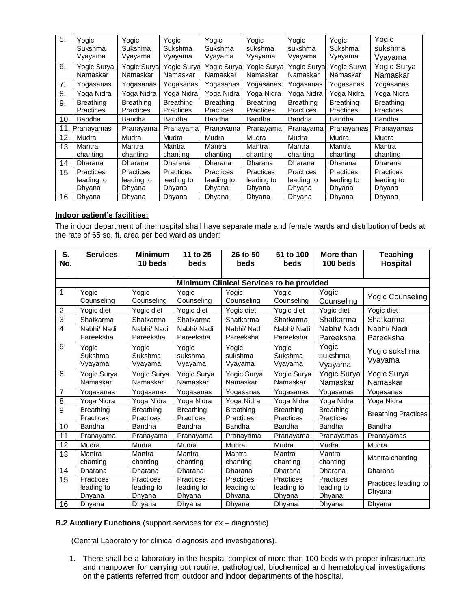| 5.  | Yogic<br>Sukshma                         | Yogic<br>Sukshma                  | Yogic<br>Sukshma                         | Yogic<br>Sukshma                         | Yogic<br>sukshma                         | Yogic<br>sukshma                         | Yogic<br>Sukshma                         | Yogic<br>sukshma                         |
|-----|------------------------------------------|-----------------------------------|------------------------------------------|------------------------------------------|------------------------------------------|------------------------------------------|------------------------------------------|------------------------------------------|
|     | Vyayama                                  | Vyayama                           | Vyayama                                  | Vyayama                                  | Vyayama                                  | Vyayama                                  | Vyayama                                  | Vyayama                                  |
| 6.  | Yogic Surya<br>Namaskar                  | Yogic Surya<br>Namaskar           | Yogic Surya<br>Namaskar                  | Yogic Surya<br>Namaskar                  | Yogic Surya<br>Namaskar                  | Yogic Surya<br>Namaskar                  | Yogic Surya<br>Namaskar                  | Yogic Surya<br>Namaskar                  |
| 7.  | Yogasanas                                | Yogasanas                         | Yogasanas                                | Yogasanas                                | Yogasanas                                | Yogasanas                                | Yogasanas                                | Yogasanas                                |
| 8.  | Yoga Nidra                               | Yoga Nidra                        | Yoga Nidra                               | Yoga Nidra                               | Yoga Nidra                               | Yoga Nidra                               | Yoga Nidra                               | Yoga Nidra                               |
| 9.  | <b>Breathing</b><br>Practices            | <b>Breathing</b><br>Practices     | <b>Breathing</b><br>Practices            | <b>Breathing</b><br>Practices            | <b>Breathing</b><br><b>Practices</b>     | <b>Breathing</b><br>Practices            | <b>Breathing</b><br>Practices            | <b>Breathing</b><br>Practices            |
| 10. | Bandha                                   | Bandha                            | <b>Bandha</b>                            | <b>Bandha</b>                            | Bandha                                   | <b>Bandha</b>                            | Bandha                                   | Bandha                                   |
| 11. | Pranayamas                               | Pranayama                         | Pranayama                                | Pranayama                                | Pranayama                                | Pranayama                                | Pranayamas                               | Pranayamas                               |
| 12. | Mudra                                    | Mudra                             | Mudra                                    | Mudra                                    | Mudra                                    | Mudra                                    | Mudra                                    | Mudra                                    |
| 13. | Mantra<br>chanting                       | Mantra<br>chanting                | Mantra<br>chanting                       | Mantra<br>chanting                       | Mantra<br>chanting                       | Mantra<br>chanting                       | Mantra<br>chanting                       | Mantra<br>chanting                       |
| 14. | Dharana                                  | Dharana                           | Dharana                                  | Dharana                                  | Dharana                                  | Dharana                                  | Dharana                                  | Dharana                                  |
| 15. | <b>Practices</b><br>leading to<br>Dhyana | Practices<br>leading to<br>Dhyana | <b>Practices</b><br>leading to<br>Dhyana | <b>Practices</b><br>leading to<br>Dhyana | <b>Practices</b><br>leading to<br>Dhyana | <b>Practices</b><br>leading to<br>Dhyana | <b>Practices</b><br>leading to<br>Dhyana | <b>Practices</b><br>leading to<br>Dhyana |
| 16. | Dhyana                                   | Dhyana                            | Dhyana                                   | Dhyana                                   | Dhyana                                   | Dhyana                                   | Dhyana                                   | Dhyana                                   |

## **Indoor patient's facilities:**

The indoor department of the hospital shall have separate male and female wards and distribution of beds at the rate of 65 sq. ft. area per bed ward as under:

| S.<br>No.      | <b>Services</b>                          | <b>Minimum</b><br>10 beds         | 11 to 25<br>beds                         | 26 to 50<br>beds                         | 51 to 100<br>beds                 | More than<br>100 beds                    | <b>Teaching</b><br><b>Hospital</b> |
|----------------|------------------------------------------|-----------------------------------|------------------------------------------|------------------------------------------|-----------------------------------|------------------------------------------|------------------------------------|
|                |                                          |                                   |                                          |                                          |                                   |                                          |                                    |
|                |                                          |                                   |                                          | Minimum Clinical Services to be provided |                                   |                                          |                                    |
| 1              | Yogic<br>Counseling                      | Yogic<br>Counseling               | Yogic<br>Counseling                      | Yogic<br>Counseling                      | Yogic<br>Counseling               | Yogic<br>Counseling                      | <b>Yogic Counseling</b>            |
| $\overline{c}$ | Yogic diet                               | Yogic diet                        | Yogic diet                               | Yogic diet                               | Yogic diet                        | Yogic diet                               | Yogic diet                         |
| $\overline{3}$ | Shatkarma                                | Shatkarma                         | Shatkarma                                | Shatkarma                                | Shatkarma                         | Shatkarma                                | Shatkarma                          |
| $\overline{4}$ | Nabhi/ Nadi<br>Pareeksha                 | Nabhi/ Nadi<br>Pareeksha          | Nabhi/ Nadi<br>Pareeksha                 | Nabhi/ Nadi<br>Pareeksha                 | Nabhi/ Nadi<br>Pareeksha          | Nabhi/ Nadi<br>Pareeksha                 | Nabhi/ Nadi<br>Pareeksha           |
| 5              | Yogic<br>Sukshma<br>Vyayama              | Yogic<br>Sukshma<br>Vyayama       | Yogic<br>sukshma<br>Vyayama              | Yogic<br>sukshma<br>Vyayama              | Yogic<br>Sukshma<br>Vyayama       | Yogic<br>sukshma<br>Vyayama              | Yogic sukshma<br>Vyayama           |
| 6              | Yogic Surya<br>Namaskar                  | Yogic Surya<br>Namaskar           | Yogic Surya<br>Namaskar                  | Yogic Surya<br>Namaskar                  | Yogic Surya<br>Namaskar           | Yogic Surya<br>Namaskar                  | Yogic Surya<br>Namaskar            |
| 7              | Yogasanas                                | Yogasanas                         | Yogasanas                                | Yogasanas                                | Yogasanas                         | Yogasanas                                | Yogasanas                          |
| $\overline{8}$ | Yoga Nidra                               | Yoga Nidra                        | Yoga Nidra                               | Yoga Nidra                               | Yoga Nidra                        | Yoga Nidra                               | Yoga Nidra                         |
| $\overline{9}$ | <b>Breathing</b><br>Practices            | <b>Breathing</b><br>Practices     | <b>Breathing</b><br>Practices            | <b>Breathing</b><br>Practices            | <b>Breathing</b><br>Practices     | <b>Breathing</b><br>Practices            | <b>Breathing Practices</b>         |
| 10             | Bandha                                   | Bandha                            | Bandha                                   | Bandha                                   | Bandha                            | Bandha                                   | Bandha                             |
| 11             | Pranayama                                | Pranayama                         | Pranayama                                | Pranayama                                | Pranayama                         | Pranayamas                               | Pranayamas                         |
| 12             | Mudra                                    | Mudra                             | Mudra                                    | Mudra                                    | Mudra                             | Mudra                                    | Mudra                              |
| 13             | Mantra<br>chanting                       | Mantra<br>chanting                | Mantra<br>chanting                       | Mantra<br>chanting                       | Mantra<br>chanting                | Mantra<br>chanting                       | Mantra chanting                    |
| 14             | Dharana                                  | Dharana                           | Dharana                                  | Dharana                                  | Dharana                           | Dharana                                  | Dharana                            |
| 15             | <b>Practices</b><br>leading to<br>Dhyana | Practices<br>leading to<br>Dhyana | <b>Practices</b><br>leading to<br>Dhyana | <b>Practices</b><br>leading to<br>Dhyana | Practices<br>leading to<br>Dhyana | <b>Practices</b><br>leading to<br>Dhyana | Practices leading to<br>Dhyana     |
| 16             | Dhyana                                   | Dhyana                            | Dhyana                                   | Dhyana                                   | Dhyana                            | Dhyana                                   | Dhyana                             |

## **B.2 Auxiliary Functions** (support services for ex – diagnostic)

(Central Laboratory for clinical diagnosis and investigations).

1. There shall be a laboratory in the hospital complex of more than 100 beds with proper infrastructure and manpower for carrying out routine, pathological, biochemical and hematological investigations on the patients referred from outdoor and indoor departments of the hospital.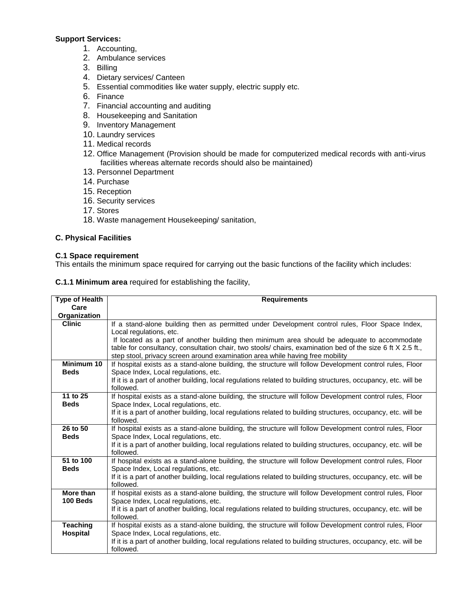## **Support Services:**

- 1. Accounting,
- 2. Ambulance services
- 3. Billing
- 4. Dietary services/ Canteen
- 5. Essential commodities like water supply, electric supply etc.
- 6. Finance
- 7. Financial accounting and auditing
- 8. Housekeeping and Sanitation
- 9. Inventory Management
- 10. Laundry services
- 11. Medical records
- 12. Office Management (Provision should be made for computerized medical records with anti-virus facilities whereas alternate records should also be maintained)
- 13. Personnel Department
- 14. Purchase
- 15. Reception
- 16. Security services
- 17. Stores
- 18. Waste management Housekeeping/ sanitation,

## **C. Physical Facilities**

### **C.1 Space requirement**

This entails the minimum space required for carrying out the basic functions of the facility which includes:

|  |  |  | <b>C.1.1 Minimum area</b> required for establishing the facility, |  |
|--|--|--|-------------------------------------------------------------------|--|
|--|--|--|-------------------------------------------------------------------|--|

| <b>Type of Health</b>         | <b>Requirements</b>                                                                                                                                    |
|-------------------------------|--------------------------------------------------------------------------------------------------------------------------------------------------------|
| Care                          |                                                                                                                                                        |
| Organization<br><b>Clinic</b> | If a stand-alone building then as permitted under Development control rules, Floor Space Index,                                                        |
|                               | Local regulations, etc.                                                                                                                                |
|                               | If located as a part of another building then minimum area should be adequate to accommodate                                                           |
|                               | table for consultancy, consultation chair, two stools/ chairs, examination bed of the size 6 ft X 2.5 ft.,                                             |
|                               | step stool, privacy screen around examination area while having free mobility                                                                          |
| Minimum 10                    | If hospital exists as a stand-alone building, the structure will follow Development control rules, Floor                                               |
| <b>Beds</b>                   | Space Index, Local regulations, etc.                                                                                                                   |
|                               | If it is a part of another building, local regulations related to building structures, occupancy, etc. will be                                         |
| 11 to 25                      | followed.<br>If hospital exists as a stand-alone building, the structure will follow Development control rules, Floor                                  |
| <b>Beds</b>                   | Space Index, Local regulations, etc.                                                                                                                   |
|                               | If it is a part of another building, local regulations related to building structures, occupancy, etc. will be                                         |
|                               | followed.                                                                                                                                              |
| 26 to 50                      | If hospital exists as a stand-alone building, the structure will follow Development control rules, Floor                                               |
| <b>Beds</b>                   | Space Index, Local regulations, etc.                                                                                                                   |
|                               | If it is a part of another building, local regulations related to building structures, occupancy, etc. will be                                         |
|                               | followed.                                                                                                                                              |
| 51 to 100                     | If hospital exists as a stand-alone building, the structure will follow Development control rules, Floor                                               |
| <b>Beds</b>                   | Space Index, Local regulations, etc.<br>If it is a part of another building, local regulations related to building structures, occupancy, etc. will be |
|                               | followed.                                                                                                                                              |
| More than                     | If hospital exists as a stand-alone building, the structure will follow Development control rules, Floor                                               |
| 100 Beds                      | Space Index, Local regulations, etc.                                                                                                                   |
|                               | If it is a part of another building, local regulations related to building structures, occupancy, etc. will be                                         |
|                               | followed.                                                                                                                                              |
| <b>Teaching</b>               | If hospital exists as a stand-alone building, the structure will follow Development control rules, Floor                                               |
| <b>Hospital</b>               | Space Index, Local regulations, etc.                                                                                                                   |
|                               | If it is a part of another building, local regulations related to building structures, occupancy, etc. will be<br>followed.                            |
|                               |                                                                                                                                                        |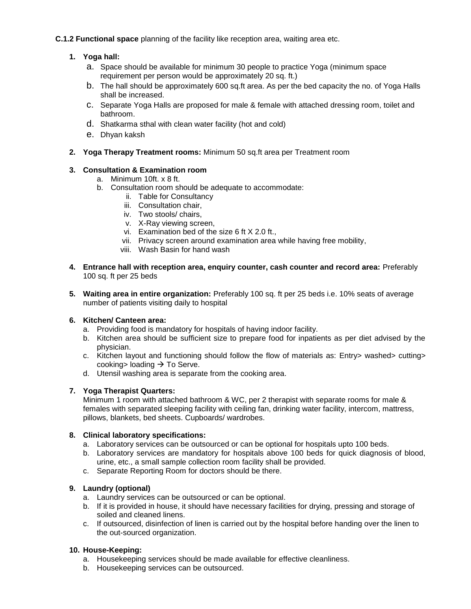## **C.1.2 Functional space** planning of the facility like reception area, waiting area etc.

## **1. Yoga hall:**

- a. Space should be available for minimum 30 people to practice Yoga (minimum space requirement per person would be approximately 20 sq. ft.)
- b. The hall should be approximately 600 sq.ft area. As per the bed capacity the no. of Yoga Halls shall be increased.
- c. Separate Yoga Halls are proposed for male & female with attached dressing room, toilet and bathroom.
- d. Shatkarma sthal with clean water facility (hot and cold)
- e. Dhyan kaksh
- **2. Yoga Therapy Treatment rooms:** Minimum 50 sq.ft area per Treatment room

## **3. Consultation & Examination room**

- a. Minimum 10ft. x 8 ft.
- b. Consultation room should be adequate to accommodate:
	- ii. Table for Consultancy
	- iii. Consultation chair,
	- iv. Two stools/ chairs,
	- v. X-Ray viewing screen,
	- vi. Examination bed of the size 6 ft X 2.0 ft.,
	- vii. Privacy screen around examination area while having free mobility,
	- viii. Wash Basin for hand wash
- **4. Entrance hall with reception area, enquiry counter, cash counter and record area:** Preferably 100 sq. ft per 25 beds
- **5. Waiting area in entire organization:** Preferably 100 sq. ft per 25 beds i.e. 10% seats of average number of patients visiting daily to hospital

### **6. Kitchen/ Canteen area:**

- a. Providing food is mandatory for hospitals of having indoor facility.
- b. Kitchen area should be sufficient size to prepare food for inpatients as per diet advised by the physician.
- c. Kitchen layout and functioning should follow the flow of materials as: Entry> washed> cutting> cooking> loading  $\rightarrow$  To Serve.
- d. Utensil washing area is separate from the cooking area.

### **7. Yoga Therapist Quarters:**

Minimum 1 room with attached bathroom & WC, per 2 therapist with separate rooms for male & females with separated sleeping facility with ceiling fan, drinking water facility, intercom, mattress, pillows, blankets, bed sheets. Cupboards/ wardrobes.

### **8. Clinical laboratory specifications:**

- a. Laboratory services can be outsourced or can be optional for hospitals upto 100 beds.
- b. Laboratory services are mandatory for hospitals above 100 beds for quick diagnosis of blood, urine, etc., a small sample collection room facility shall be provided.
- c. Separate Reporting Room for doctors should be there.

## **9. Laundry (optional)**

- a. Laundry services can be outsourced or can be optional.
- b. If it is provided in house, it should have necessary facilities for drying, pressing and storage of soiled and cleaned linens.
- c. If outsourced, disinfection of linen is carried out by the hospital before handing over the linen to the out-sourced organization.

### **10. House-Keeping:**

- a. Housekeeping services should be made available for effective cleanliness.
- b. Housekeeping services can be outsourced.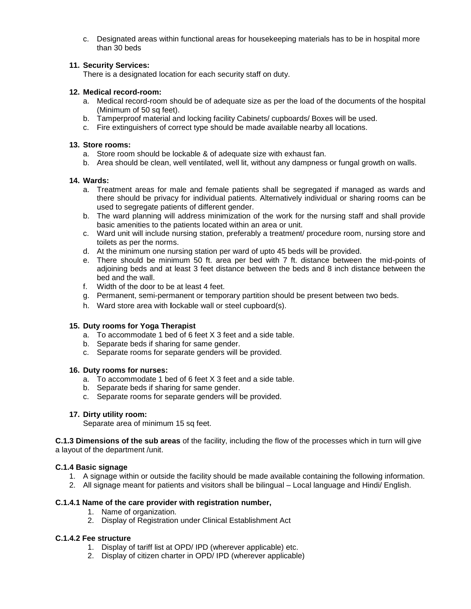c. Designated areas within functional areas for housekeeping materials has to be in hospital more than 30 beds

## **11. Security Services:**

There is a designated location for each security staff on duty.

### **12. Medical record-room:**

- a. Medical record-room should be of adequate size as per the load of the documents of the hospital (Minimum of 50 sq feet).
- b. Tamperproof material and locking facility Cabinets/ cupboards/ Boxes will be used.
- c. Fire extinguishers of correct type should be made available nearby all locations.

### **13. Store rooms:**

- a. Store room should be lockable & of adequate size with exhaust fan.
- b. Area should be clean, well ventilated, well lit, without any dampness or fungal growth on walls.

### **14. Wards:**

- a. Treatment areas for male and female patients shall be segregated if managed as wards and there should be privacy for individual patients. Alternatively individual or sharing rooms can be used to segregate patients of different gender.
- b. The ward planning will address minimization of the work for the nursing staff and shall provide basic amenities to the patients located within an area or unit.
- c. Ward unit will include nursing station, preferably a treatment/ procedure room, nursing store and toilets as per the norms.
- d. At the minimum one nursing station per ward of upto 45 beds will be provided.
- e. There should be minimum 50 ft. area per bed with 7 ft. distance between the mid-points of adjoining beds and at least 3 feet distance between the beds and 8 inch distance between the bed and the wall.
- f. Width of the door to be at least 4 feet.
- g. Permanent, semi-permanent or temporary partition should be present between two beds.
- h. Ward store area with **l**ockable wall or steel cupboard(s).

### **15. Duty rooms for Yoga Therapist**

- a. To accommodate 1 bed of 6 feet X 3 feet and a side table.
- b. Separate beds if sharing for same gender.
- c. Separate rooms for separate genders will be provided.

### **16. Duty rooms for nurses:**

- a. To accommodate 1 bed of 6 feet X 3 feet and a side table.
- b. Separate beds if sharing for same gender.
- c. Separate rooms for separate genders will be provided.

### **17. Dirty utility room:**

Separate area of minimum 15 sq feet.

**C.1.3 Dimensions of the sub areas** of the facility, including the flow of the processes which in turn will give a layout of the department /unit.

### **C.1.4 Basic signage**

- 1. A signage within or outside the facility should be made available containing the following information.
- 2. All signage meant for patients and visitors shall be bilingual Local language and Hindi/ English.

### **C.1.4.1 Name of the care provider with registration number,**

- 1. Name of organization.
- 2. Display of Registration under Clinical Establishment Act

## **C.1.4.2 Fee structure**

- 1. Display of tariff list at OPD/ IPD (wherever applicable) etc.
- 2. Display of citizen charter in OPD/ IPD (wherever applicable)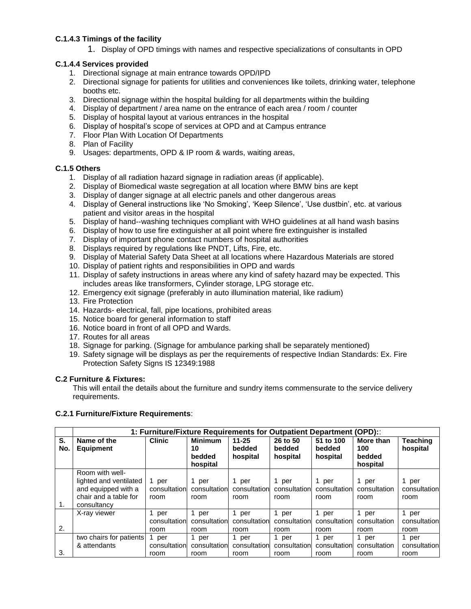## **C.1.4.3 Timings of the facility**

1. Display of OPD timings with names and respective specializations of consultants in OPD

## **C.1.4.4 Services provided**

- 1. Directional signage at main entrance towards OPD/IPD
- 2. Directional signage for patients for utilities and conveniences like toilets, drinking water, telephone booths etc.
- 3. Directional signage within the hospital building for all departments within the building
- 4. Display of department / area name on the entrance of each area / room / counter
- 5. Display of hospital layout at various entrances in the hospital
- 6. Display of hospital's scope of services at OPD and at Campus entrance
- 7. Floor Plan With Location Of Departments
- 8. Plan of Facility
- 9. Usages: departments, OPD & IP room & wards, waiting areas,

## **C.1.5 Others**

- 1. Display of all radiation hazard signage in radiation areas (if applicable).
- 2. Display of Biomedical waste segregation at all location where BMW bins are kept
- 3. Display of danger signage at all electric panels and other dangerous areas
- 4. Display of General instructions like 'No Smoking', 'Keep Silence', 'Use dustbin', etc. at various patient and visitor areas in the hospital
- 5. Display of hand--washing techniques compliant with WHO guidelines at all hand wash basins
- 6. Display of how to use fire extinguisher at all point where fire extinguisher is installed
- 7. Display of important phone contact numbers of hospital authorities
- 8. Displays required by regulations like PNDT, Lifts, Fire, etc.
- 9. Display of Material Safety Data Sheet at all locations where Hazardous Materials are stored
- 10. Display of patient rights and responsibilities in OPD and wards
- 11. Display of safety instructions in areas where any kind of safety hazard may be expected. This includes areas like transformers, Cylinder storage, LPG storage etc.
- 12. Emergency exit signage (preferably in auto illumination material, like radium)
- 13. Fire Protection
- 14. Hazards- electrical, fall, pipe locations, prohibited areas
- 15. Notice board for general information to staff
- 16. Notice board in front of all OPD and Wards.
- 17. Routes for all areas
- 18. Signage for parking. (Signage for ambulance parking shall be separately mentioned)
- 19. Safety signage will be displays as per the requirements of respective Indian Standards: Ex. Fire Protection Safety Signs IS 12349:1988

### **C.2 Furniture & Fixtures:**

This will entail the details about the furniture and sundry items commensurate to the service delivery requirements.

### **C.2.1 Furniture/Fixture Requirements**:

|     |                         | 1: Furniture/Fixture Requirements for Outpatient Department (OPD):: |                |              |              |              |              |              |
|-----|-------------------------|---------------------------------------------------------------------|----------------|--------------|--------------|--------------|--------------|--------------|
| S.  | Name of the             | <b>Clinic</b>                                                       | <b>Minimum</b> | $11 - 25$    | 26 to 50     | 51 to 100    | More than    | Teaching     |
| No. | <b>Equipment</b>        |                                                                     | 10             | bedded       | bedded       | bedded       | 100          | hospital     |
|     |                         |                                                                     | bedded         | hospital     | hospital     | hospital     | bedded       |              |
|     |                         |                                                                     | hospital       |              |              |              | hospital     |              |
|     | Room with well-         |                                                                     |                |              |              |              |              |              |
|     | lighted and ventilated  | 1 per                                                               | 1 per          | 1 per        | 1 per        | 1 per        | 1 per        | 1 per        |
|     | and equipped with a     | consultation                                                        | consultation   | consultation | consultation | consultation | consultation | consultation |
|     | chair and a table for   | room                                                                | room           | room         | room         | room         | room         | room         |
| 1.  | consultancy             |                                                                     |                |              |              |              |              |              |
|     | X-ray viewer            | 1 per                                                               | 1 per          | 1 per        | 1 per        | 1 per        | 1 per        | 1 per        |
|     |                         | consultation                                                        | consultation   | consultation | consultation | consultation | consultation | consultation |
| 2.  |                         | room                                                                | room           | room         | room         | room         | room         | room         |
|     | two chairs for patients | 1 per                                                               | 1 per          | 1 per        | 1 per        | 1 per        | 1 per        | 1 per        |
|     | & attendants            | consultation                                                        | consultation   | consultation | consultation | consultation | consultation | consultation |
| 3.  |                         | room                                                                | room           | room         | room         | room         | room         | room         |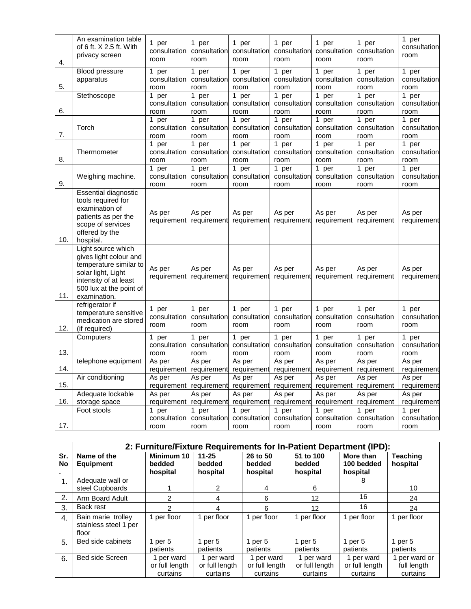| 4.  | An examination table<br>of 6 ft. X 2.5 ft. With<br>privacy screen                                                                                                | 1 per<br>consultation<br>room  | 1 per<br>consultation<br>room  | 1 per<br>consultation<br>room  | 1 per<br>consultation<br>room  | 1 per<br>consultation<br>room  | 1 per<br>consultation<br>room  | 1 per<br>consultation<br>room  |
|-----|------------------------------------------------------------------------------------------------------------------------------------------------------------------|--------------------------------|--------------------------------|--------------------------------|--------------------------------|--------------------------------|--------------------------------|--------------------------------|
| 5.  | <b>Blood pressure</b><br>apparatus                                                                                                                               | 1 per<br>consultation<br>room  | 1 per<br>consultation<br>room  | 1 per<br>consultation<br>room  | 1 per<br>consultation<br>room  | 1 per<br>consultation<br>room  | 1 per<br>consultation<br>room  | 1 per<br>consultation<br>room  |
| 6.  | Stethoscope                                                                                                                                                      | 1 per<br>consultation<br>room  | 1 per<br>consultation<br>room  | 1 per<br>consultation<br>room  | 1 per<br>consultation<br>room  | 1 per<br>consultation<br>room  | 1 per<br>consultation<br>room  | 1 per<br>consultation<br>room  |
| 7.  | Torch                                                                                                                                                            | 1 per<br>consultation<br>room  | 1 per<br>consultation<br>room  | 1 per<br>consultation<br>room  | 1 per<br>consultation<br>room  | 1 per<br>consultation<br>room  | 1 per<br>consultation<br>room  | 1 per<br>consultation<br>room  |
| 8.  | Thermometer                                                                                                                                                      | 1 per<br>consultation<br>room  | 1 per<br>consultation<br>room  | 1 per<br>consultation<br>room  | 1 per<br>consultation<br>room  | 1 per<br>consultation<br>room  | 1 per<br>consultation<br>room  | 1 per<br>consultation<br>room  |
| 9.  | Weighing machine.                                                                                                                                                | 1 per<br>consultation<br>room  | 1 per<br>consultation<br>room  | 1 per<br>consultation<br>room  | 1 per<br>consultation<br>room  | 1 per<br>consultation<br>room  | 1 per<br>consultation<br>room  | 1 per<br>consultation<br>room  |
| 10. | Essential diagnostic<br>tools required for<br>examination of<br>patients as per the<br>scope of services<br>offered by the<br>hospital.                          | As per<br>requirement          | As per<br>requirement          | As per<br>requirement          | As per<br>requirement          | As per<br>requirement          | As per<br>requirement          | As per<br>requirement          |
| 11. | Light source which<br>gives light colour and<br>temperature similar to<br>solar light, Light<br>intensity of at least<br>500 lux at the point of<br>examination. | As per<br>requirement          | As per<br>requirement          | As per<br>requirement          | As per<br>requirement          | As per<br>requirement          | As per<br>requirement          | As per<br>requirement          |
| 12. | refrigerator if<br>temperature sensitive<br>medication are stored<br>(if required)                                                                               | 1 per<br>consultation<br>room  | 1 per<br>consultation<br>room  | 1 per<br>consultation<br>room  | 1 per<br>consultation<br>room  | 1 per<br>consultation<br>room  | 1 per<br>consultation<br>room  | 1 per<br>consultation<br>room  |
| 13. | Computers                                                                                                                                                        | 1 per<br>consultation<br>room  | 1 per<br>consultation<br>room  | 1 per<br>consultation<br>room  | 1 per<br>consultation<br>room  | 1 per<br>consultation<br>room  | 1 per<br>consultation<br>room  | 1 per<br>consultation<br>room  |
| 14. | telephone equipment                                                                                                                                              | As per<br>requirement          | As per<br>requirement          | As per<br>requirement          | As per<br>requirement          | As per<br>requirement          | As per<br>requirement          | As per<br>requirement          |
| 15. | Air conditioning                                                                                                                                                 | As per<br>requirement          | As per<br>requirement          | As per<br>requirement          | As per<br>requirement          | As per<br>requirement          | As per<br>requirement          | As per<br>requirement          |
| 16. | Adequate lockable<br>storage space<br>Foot stools                                                                                                                | As per<br>requirement<br>1 per | As per<br>requirement<br>1 per | As per<br>requirement<br>1 per | As per<br>requirement<br>1 per | As per<br>requirement<br>1 per | As per<br>requirement<br>1 per | As per<br>requirement<br>1 per |
| 17. |                                                                                                                                                                  | consultation<br>room           | consultation<br>room           | consultation<br>room           | consultation<br>room           | consultation<br>room           | consultation<br>room           | consultation<br>room           |

|                  | 2: Furniture/Fixture Requirements for In-Patient Department (IPD): |                                          |                                          |                                          |                                          |                                          |                                          |  |  |  |  |
|------------------|--------------------------------------------------------------------|------------------------------------------|------------------------------------------|------------------------------------------|------------------------------------------|------------------------------------------|------------------------------------------|--|--|--|--|
| Sr.<br>No        | Name of the<br><b>Equipment</b>                                    | Minimum 10<br>bedded<br>hospital         | $11 - 25$<br>bedded<br>hospital          | 26 to 50<br>bedded<br>hospital           | 51 to 100<br>bedded<br>hospital          | More than<br>100 bedded<br>hospital      | <b>Teaching</b><br>hospital              |  |  |  |  |
| 1.               | Adequate wall or<br>steel Cupboards                                |                                          | 2                                        | 4                                        | 6                                        | 8                                        | 10                                       |  |  |  |  |
| 2.               | Arm Board Adult                                                    | 2                                        | 4                                        | 6                                        | 12                                       | 16                                       | 24                                       |  |  |  |  |
| 3.               | Back rest                                                          | 2                                        | 4                                        | 6                                        | $12 \overline{ }$                        | 16                                       | 24                                       |  |  |  |  |
| $\overline{4}$ . | Bain marie trolley<br>stainless steel 1 per<br>floor               | 1 per floor                              | 1 per floor                              | 1 per floor                              | 1 per floor                              | per floor                                | 1 per floor                              |  |  |  |  |
| 5.               | Bed side cabinets                                                  | 1 per $5$<br>patients                    | 1 per $5$<br>patients                    | 1 per $5$<br>patients                    | 1 per $5$<br>patients                    | 1 per $5$<br>patients                    | 1 per $5$<br>patients                    |  |  |  |  |
| 6.               | <b>Bed side Screen</b>                                             | 1 per ward<br>or full length<br>curtains | 1 per ward<br>or full length<br>curtains | 1 per ward<br>or full length<br>curtains | 1 per ward<br>or full length<br>curtains | 1 per ward<br>or full length<br>curtains | 1 per ward or<br>full length<br>curtains |  |  |  |  |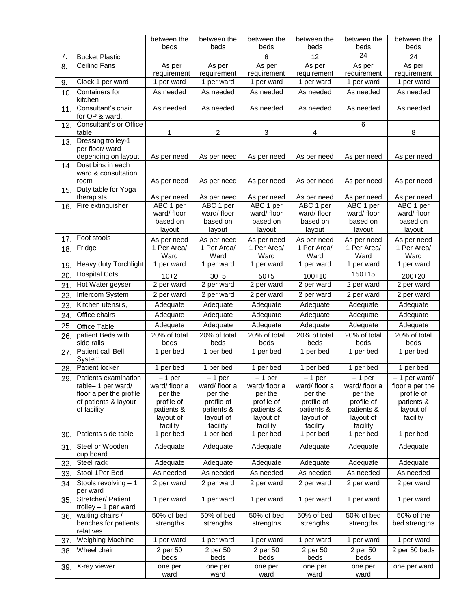|          |                                                              | between the              | between the              | between the             | between the              | between the              | between the                       |
|----------|--------------------------------------------------------------|--------------------------|--------------------------|-------------------------|--------------------------|--------------------------|-----------------------------------|
|          |                                                              | beds                     | beds                     | beds                    | beds                     | beds<br>24               | beds                              |
| 7.<br>8. | <b>Bucket Plastic</b><br>Ceiling Fans                        | As per                   | As per                   | $\,6$<br>As per         | 12<br>As per             | As per                   | 24<br>As per                      |
|          |                                                              | requirement              | requirement              | requirement             | requirement              | requirement              | requirement                       |
| 9.       | Clock 1 per ward                                             | 1 per ward               | 1 per ward               | 1 per ward              | 1 per ward               | 1 per ward               | 1 per ward                        |
| 10       | Containers for<br>kitchen                                    | As needed                | As needed                | As needed               | As needed                | As needed                | As needed                         |
| 11       | Consultant's chair<br>for OP & ward,                         | As needed                | As needed                | As needed               | As needed                | As needed                | As needed                         |
| 12.      | Consultant's or Office<br>table                              | 1                        | $\overline{2}$           | 3                       | 4                        | 6                        | 8                                 |
| 13.      | Dressing trolley-1<br>per floor/ ward<br>depending on layout | As per need              | As per need              | As per need             | As per need              | As per need              | As per need                       |
| 14.      | Dust bins in each<br>ward & consultation<br>room             | As per need              | As per need              | As per need             | As per need              | As per need              | As per need                       |
| 15.      | Duty table for Yoga<br>therapists                            | As per need              | As per need              | As per need             | As per need              | As per need              | As per need                       |
| 16.      | Fire extinguisher                                            | ABC 1 per<br>ward/floor  | ABC 1 per<br>ward/floor  | ABC 1 per<br>ward/floor | ABC 1 per<br>ward/floor  | ABC 1 per<br>ward/floor  | ABC 1 per<br>ward/floor           |
|          |                                                              | based on<br>layout       | based on<br>layout       | based on<br>layout      | based on<br>layout       | based on<br>layout       | based on<br>layout                |
| 17       | Foot stools                                                  | As per need              | As per need              | As per need             | As per need              | As per need              | As per need                       |
| 18.      | Fridge                                                       | 1 Per Area/<br>Ward      | 1 Per Area/<br>Ward      | 1 Per Area/<br>Ward     | 1 Per Area/<br>Ward      | 1 Per Area/<br>Ward      | 1 Per Area/<br>Ward               |
| 19       | Heavy duty Torchlight                                        | 1 per ward               | 1 per ward               | 1 per ward              | 1 per ward               | 1 per ward               | 1 per ward                        |
| 20       | <b>Hospital Cots</b>                                         | $10+2$                   | $30 + 5$                 | $50 + 5$                | $100 + 10$               | $150 + 15$               | $200+20$                          |
| 21       | Hot Water geyser                                             | 2 per ward               | 2 per ward               | 2 per ward              | 2 per ward               | 2 per ward               | 2 per ward                        |
| 22       | Intercom System                                              | 2 per ward               | 2 per ward               | 2 per ward              | 2 per ward               | 2 per ward               | 2 per ward                        |
| 23       | Kitchen utensils,                                            | Adequate                 | Adequate                 | Adequate                | Adequate                 | Adequate                 | Adequate                          |
| 24.      | Office chairs                                                | Adequate                 | Adequate                 | Adequate                | Adequate                 | Adequate                 | Adequate                          |
| 25       | Office Table                                                 | Adequate                 | Adequate                 | Adequate                | Adequate                 | Adequate                 | Adequate                          |
| 26.      | patient Beds with<br>side rails                              | 20% of total<br>beds     | $20\%$ of total<br>beds  | $20\%$ of total<br>beds | $20\%$ of total<br>beds  | 20% of total<br>beds     | 20% of total<br>beds              |
| 27.      | Patient call Bell                                            | 1 per bed                | 1 per bed                | 1 per bed               | 1 per bed                | 1 per bed                | 1 per bed                         |
|          | System                                                       |                          |                          |                         |                          |                          |                                   |
| 28.      | Patient locker                                               | 1 per bed                | 1 per bed                | 1 per bed               | 1 per bed                | 1 per bed                | 1 per bed                         |
| 29.      | Patients examination<br>table-1 per ward/                    | $-1$ per<br>ward/floor a | $-1$ per<br>ward/floor a | – 1 per<br>ward/floor a | $-1$ per<br>ward/floor a | $-1$ per<br>ward/floor a | $-1$ per ward/<br>floor a per the |
|          | floor a per the profile                                      | per the                  | per the                  | per the                 | per the                  | per the                  | profile of                        |
|          | of patients & layout                                         | profile of               | profile of               | profile of              | profile of               | profile of               | patients &                        |
|          | of facility                                                  | patients &<br>layout of  | patients &<br>layout of  | patients &<br>layout of | patients &<br>layout of  | patients &<br>layout of  | layout of<br>facility             |
|          |                                                              | facility                 | facility                 | facility                | facility                 | facility                 |                                   |
| 30       | Patients side table                                          | 1 per bed                | 1 per bed                | 1 per bed               | 1 per bed                | 1 per bed                | 1 per bed                         |
| 31.      | Steel or Wooden<br>cup board                                 | Adequate                 | Adequate                 | Adequate                | Adequate                 | Adequate                 | Adequate                          |
| 32       | Steel rack                                                   | Adequate                 | Adequate                 | Adequate                | Adequate                 | Adequate                 | Adequate                          |
| 33.      | Stool 1Per Bed                                               | As needed                | As needed                | As needed               | As needed                | As needed                | As needed                         |
| 34.      | Stools revolving $-1$<br>per ward                            | 2 per ward               | 2 per ward               | 2 per ward              | 2 per ward               | $\overline{2}$ per ward  | 2 per ward                        |
| 35.      | Stretcher/ Patient<br>$t$ rolley $-1$ per ward               | 1 per ward               | 1 per ward               | 1 per ward              | 1 per ward               | 1 per ward               | 1 per ward                        |
| 36.      | waiting chairs /<br>benches for patients<br>relatives        | 50% of bed<br>strengths  | 50% of bed<br>strengths  | 50% of bed<br>strengths | 50% of bed<br>strengths  | 50% of bed<br>strengths  | 50% of the<br>bed strengths       |
| 37.      | Weighing Machine                                             | 1 per ward               | 1 per ward               | 1 per ward              | 1 per ward               | 1 per ward               | 1 per ward                        |
| 38.      | Wheel chair                                                  | 2 per 50<br>beds         | 2 per 50<br>beds         | 2 per 50<br>beds        | 2 per 50<br>beds         | 2 per 50<br>beds         | 2 per 50 beds                     |
| 39.      | X-ray viewer                                                 | one per                  | one per                  | one per                 | one per                  | one per                  | one per ward                      |
|          |                                                              | ward                     | ward                     | ward                    | ward                     | ward                     |                                   |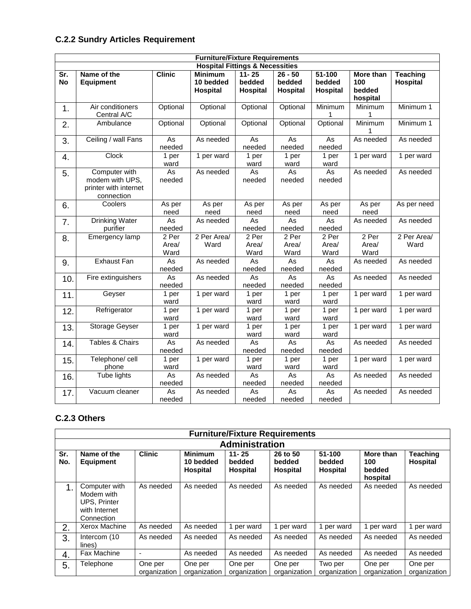# **C.2.2 Sundry Articles Requirement**

|                  |                                                                         |                          | <b>Furniture/Fixture Requirements</b>      |                                 |                                 |                                  |                                        |                             |
|------------------|-------------------------------------------------------------------------|--------------------------|--------------------------------------------|---------------------------------|---------------------------------|----------------------------------|----------------------------------------|-----------------------------|
|                  |                                                                         |                          | <b>Hospital Fittings &amp; Necessities</b> |                                 |                                 |                                  |                                        |                             |
| Sr.<br><b>No</b> | Name of the<br><b>Equipment</b>                                         | <b>Clinic</b>            | <b>Minimum</b><br>10 bedded<br>Hospital    | $11 - 25$<br>bedded<br>Hospital | $26 - 50$<br>bedded<br>Hospital | $51 - 100$<br>bedded<br>Hospital | More than<br>100<br>bedded<br>hospital | <b>Teaching</b><br>Hospital |
| 1.               | Air conditioners<br>Central A/C                                         | Optional                 | Optional                                   | Optional                        | Optional                        | Minimum                          | Minimum<br>1                           | Minimum 1                   |
| 2.               | Ambulance                                                               | Optional                 | Optional                                   | Optional                        | Optional                        | Optional                         | Minimum<br>1                           | Minimum 1                   |
| 3.               | Ceiling / wall Fans                                                     | As<br>needed             | As needed                                  | As<br>needed                    | As<br>needed                    | As<br>needed                     | As needed                              | As needed                   |
| 4.               | Clock                                                                   | 1 per<br>ward            | 1 per ward                                 | 1 per<br>ward                   | 1 per<br>ward                   | 1 per<br>ward                    | 1 per ward                             | 1 per ward                  |
| 5.               | Computer with<br>modem with UPS,<br>printer with internet<br>connection | As<br>needed             | As needed                                  | As<br>needed                    | As<br>needed                    | As<br>needed                     | As needed                              | As needed                   |
| 6.               | Coolers                                                                 | As per<br>need           | As per<br>need                             | As per<br>need                  | As per<br>need                  | As per<br>need                   | As per<br>need                         | As per need                 |
| 7.               | <b>Drinking Water</b><br>purifier                                       | As<br>needed             | As needed                                  | As<br>needed                    | $\overline{As}$<br>needed       | As<br>needed                     | As needed                              | As needed                   |
| 8.               | Emergency lamp                                                          | $2$ Per<br>Area/<br>Ward | 2 Per Area/<br>Ward                        | 2 Per<br>Area/<br>Ward          | 2 Per<br>Area/<br>Ward          | 2 Per<br>Area/<br>Ward           | 2 Per<br>Area/<br>Ward                 | 2 Per Area/<br>Ward         |
| 9.               | <b>Exhaust Fan</b>                                                      | As<br>needed             | As needed                                  | As<br>needed                    | As<br>needed                    | <b>As</b><br>needed              | As needed                              | As needed                   |
| 10.              | Fire extinguishers                                                      | As<br>needed             | As needed                                  | As<br>needed                    | $\overline{As}$<br>needed       | As<br>needed                     | As needed                              | As needed                   |
| 11.              | Geyser                                                                  | 1 per<br>ward            | 1 per ward                                 | 1 per<br>ward                   | 1 per<br>ward                   | 1 per<br>ward                    | 1 per ward                             | 1 per ward                  |
| 12.              | Refrigerator                                                            | 1 per<br>ward            | 1 per ward                                 | 1 per<br>ward                   | 1 per<br>ward                   | 1 per<br>ward                    | 1 per ward                             | 1 per ward                  |
| 13.              | Storage Geyser                                                          | 1 per<br>ward            | 1 per ward                                 | 1 per<br>ward                   | 1 per<br>ward                   | 1 per<br>ward                    | 1 per ward                             | 1 per ward                  |
| 14.              | Tables & Chairs                                                         | As<br>needed             | As needed                                  | As<br>needed                    | As<br>needed                    | As<br>needed                     | As needed                              | As needed                   |
| 15.              | Telephone/cell<br>phone                                                 | 1 per<br>ward            | 1 per ward                                 | 1 per<br>ward                   | 1 per<br>ward                   | 1 per<br>ward                    | 1 per ward                             | 1 per ward                  |
| 16.              | Tube lights                                                             | As<br>needed             | As needed                                  | As<br>needed                    | As<br>needed                    | <b>As</b><br>needed              | As needed                              | As needed                   |
| 17.              | Vacuum cleaner                                                          | As<br>needed             | As needed                                  | <b>As</b><br>needed             | As<br>needed                    | As<br>needed                     | As needed                              | As needed                   |

## **C.2.3 Others**

|            | <b>Furniture/Fixture Requirements</b>                                             |                         |                                                |                                        |                                |                                     |                                        |                             |  |  |  |  |
|------------|-----------------------------------------------------------------------------------|-------------------------|------------------------------------------------|----------------------------------------|--------------------------------|-------------------------------------|----------------------------------------|-----------------------------|--|--|--|--|
|            | <b>Administration</b>                                                             |                         |                                                |                                        |                                |                                     |                                        |                             |  |  |  |  |
| Sr.<br>No. | Name of the<br><b>Equipment</b>                                                   | <b>Clinic</b>           | <b>Minimum</b><br>10 bedded<br><b>Hospital</b> | $11 - 25$<br>bedded<br><b>Hospital</b> | 26 to 50<br>bedded<br>Hospital | 51-100<br>bedded<br><b>Hospital</b> | More than<br>100<br>bedded<br>hospital | <b>Teaching</b><br>Hospital |  |  |  |  |
| 1.         | Computer with<br>Modem with<br><b>UPS, Printer</b><br>with Internet<br>Connection | As needed               | As needed                                      | As needed                              | As needed                      | As needed                           | As needed                              | As needed                   |  |  |  |  |
| 2.         | Xerox Machine                                                                     | As needed               | As needed                                      | 1 per ward                             | 1 per ward                     | 1 per ward                          | 1 per ward                             | 1 per ward                  |  |  |  |  |
| 3.         | Intercom (10<br>lines)                                                            | As needed               | As needed                                      | As needed                              | As needed                      | As needed                           | As needed                              | As needed                   |  |  |  |  |
| 4.         | Fax Machine                                                                       |                         | As needed                                      | As needed                              | As needed                      | As needed                           | As needed                              | As needed                   |  |  |  |  |
| 5.         | Telephone                                                                         | One per<br>organization | One per<br>organization                        | One per<br>organization                | One per<br>organization        | Two per<br>organization             | One per<br>organization                | One per<br>organization     |  |  |  |  |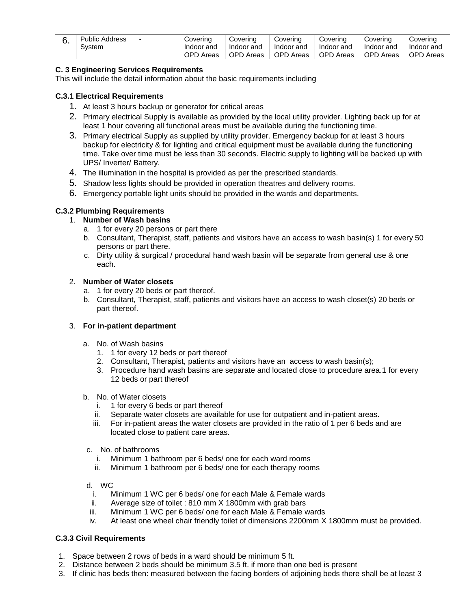| : Address<br>Public | Covering      | Coverina     | Covering         | Coverina     | Coverina         | Covering         |
|---------------------|---------------|--------------|------------------|--------------|------------------|------------------|
| System              | Indoor and    | Indoor and   | Indoor and       | Indoor and   | Indoor and       | Indoor and       |
|                     | OPD.<br>Areas | OPD<br>Areas | <b>OPD</b> Areas | OPD<br>Areas | <b>OPD</b> Areas | <b>OPD Areas</b> |

## **C. 3 Engineering Services Requirements**

This will include the detail information about the basic requirements including

## **C.3.1 Electrical Requirements**

- 1. At least 3 hours backup or generator for critical areas
- 2. Primary electrical Supply is available as provided by the local utility provider. Lighting back up for at least 1 hour covering all functional areas must be available during the functioning time.
- 3. Primary electrical Supply as supplied by utility provider. Emergency backup for at least 3 hours backup for electricity & for lighting and critical equipment must be available during the functioning time. Take over time must be less than 30 seconds. Electric supply to lighting will be backed up with UPS/ Inverter/ Battery.
- 4. The illumination in the hospital is provided as per the prescribed standards.
- 5. Shadow less lights should be provided in operation theatres and delivery rooms.
- 6. Emergency portable light units should be provided in the wards and departments.

## **C.3.2 Plumbing Requirements**

## 1. **Number of Wash basins**

- a. 1 for every 20 persons or part there
- b. Consultant, Therapist, staff, patients and visitors have an access to wash basin(s) 1 for every 50 persons or part there.
- c. Dirty utility & surgical / procedural hand wash basin will be separate from general use & one each.

### 2. **Number of Water closets**

- a. 1 for every 20 beds or part thereof.
- b. Consultant, Therapist, staff, patients and visitors have an access to wash closet(s) 20 beds or part thereof.

## 3. **For in-patient department**

- a. No. of Wash basins
	- 1. 1 for every 12 beds or part thereof
	- 2. Consultant, Therapist, patients and visitors have an access to wash basin(s);
	- 3. Procedure hand wash basins are separate and located close to procedure area.1 for every 12 beds or part thereof
- b. No. of Water closets
	- i. 1 for every 6 beds or part thereof
	- ii. Separate water closets are available for use for outpatient and in-patient areas.
	- iii. For in-patient areas the water closets are provided in the ratio of 1 per 6 beds and are located close to patient care areas.
- c. No. of bathrooms
	- i. Minimum 1 bathroom per 6 beds/ one for each ward rooms
	- ii. Minimum 1 bathroom per 6 beds/ one for each therapy rooms

d. WC

- i. Minimum 1 WC per 6 beds/ one for each Male & Female wards
- ii. Average size of toilet : 810 mm X 1800mm with grab bars
- iii. Minimum 1 WC per 6 beds/ one for each Male & Female wards
- iv. At least one wheel chair friendly toilet of dimensions 2200mm X 1800mm must be provided.

## **C.3.3 Civil Requirements**

- 1. Space between 2 rows of beds in a ward should be minimum 5 ft.
- 2. Distance between 2 beds should be minimum 3.5 ft. if more than one bed is present
- 3. If clinic has beds then: measured between the facing borders of adjoining beds there shall be at least 3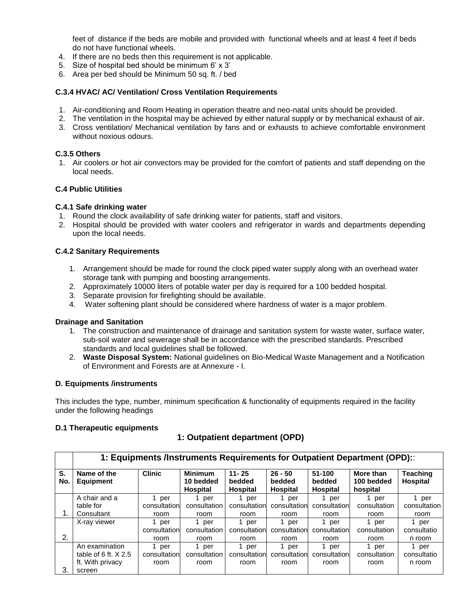feet of distance if the beds are mobile and provided with functional wheels and at least 4 feet if beds do not have functional wheels.

- 4. If there are no beds then this requirement is not applicable.
- 5. Size of hospital bed should be minimum 6' x 3'
- 6. Area per bed should be Minimum 50 sq. ft. / bed

## **C.3.4 HVAC/ AC/ Ventilation/ Cross Ventilation Requirements**

- 1. Air-conditioning and Room Heating in operation theatre and neo-natal units should be provided.
- 2. The ventilation in the hospital may be achieved by either natural supply or by mechanical exhaust of air.
- 3. Cross ventilation/ Mechanical ventilation by fans and or exhausts to achieve comfortable environment without noxious odours.

## **C.3.5 Others**

1. Air coolers or hot air convectors may be provided for the comfort of patients and staff depending on the local needs.

## **C.4 Public Utilities**

### **C.4.1 Safe drinking water**

- 1. Round the clock availability of safe drinking water for patients, staff and visitors.
- 2. Hospital should be provided with water coolers and refrigerator in wards and departments depending upon the local needs.

## **C.4.2 Sanitary Requirements**

- 1. Arrangement should be made for round the clock piped water supply along with an overhead water storage tank with pumping and boosting arrangements.
- 2. Approximately 10000 liters of potable water per day is required for a 100 bedded hospital.
- 3. Separate provision for firefighting should be available.
- 4. Water softening plant should be considered where hardness of water is a major problem.

### **Drainage and Sanitation**

- 1. The construction and maintenance of drainage and sanitation system for waste water, surface water, sub-soil water and sewerage shall be in accordance with the prescribed standards. Prescribed standards and local quidelines shall be followed.
- 2. **Waste Disposal System:** National guidelines on Bio-Medical Waste Management and a Notification of Environment and Forests are at Annexure - I.

### **D***.* **Equipments /instruments**

This includes the type, number, minimum specification & functionality of equipments required in the facility under the following headings

### **D.1 Therapeutic equipments**

## **1: Outpatient department (OPD)**

|           | 1: Equipments /Instruments Requirements for Outpatient Department (OPD): |              |                                                |                                 |                                        |              |                                     |                             |  |  |
|-----------|--------------------------------------------------------------------------|--------------|------------------------------------------------|---------------------------------|----------------------------------------|--------------|-------------------------------------|-----------------------------|--|--|
| S.<br>No. | <b>Clinic</b><br>Name of the<br><b>Equipment</b>                         |              | <b>Minimum</b><br>10 bedded<br><b>Hospital</b> | $11 - 25$<br>bedded<br>Hospital | $26 - 50$<br>bedded<br><b>Hospital</b> |              | More than<br>100 bedded<br>hospital | <b>Teaching</b><br>Hospital |  |  |
|           | A chair and a                                                            | per          | per                                            | 1 per                           | per                                    | per          | per                                 | per                         |  |  |
|           | table for                                                                | consultation | consultation                                   | consultation                    | consultation                           | consultation | consultation                        | consultation                |  |  |
|           | Consultant                                                               | room         | room                                           | room                            | room                                   | room         | room                                | room                        |  |  |
|           | X-ray viewer                                                             | 1<br>per     | per                                            | 1 per                           | per                                    | per          | per                                 | 1 per                       |  |  |
|           |                                                                          | consultation | consultation                                   | consultation                    | consultation                           | consultation | consultation                        | consultatio                 |  |  |
| 2.        |                                                                          | room         | room                                           | room                            | room                                   | room         | room                                | n room                      |  |  |
|           | An examination                                                           | per          | per                                            | per                             | per                                    | per          | per                                 | 1 per                       |  |  |
|           | table of 6 ft, $X$ 2.5                                                   | consultation | consultation                                   | consultation                    | consultation                           | consultation | consultation                        | consultatio                 |  |  |
|           | ft. With privacy                                                         | room         | room                                           | room                            | room                                   | room         | room                                | n room                      |  |  |
| 3.        | screen                                                                   |              |                                                |                                 |                                        |              |                                     |                             |  |  |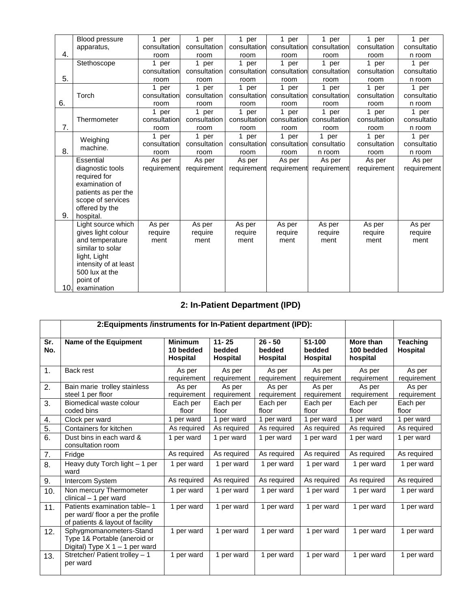|     | <b>Blood pressure</b> | 1 per        | 1 per        | 1 per        | 1 per        | 1 per        | 1 per        | 1 per       |
|-----|-----------------------|--------------|--------------|--------------|--------------|--------------|--------------|-------------|
|     | apparatus,            | consultation | consultation | consultation | consultation | consultation | consultation | consultatio |
| 4.  |                       | room         | room         | room         | room         | room         | room         | n room      |
|     | Stethoscope           | 1 per        | 1 per        | 1 per        | 1 per        | 1 per        | 1 per        | 1 per       |
|     |                       | consultation | consultation | consultation | consultation | consultation | consultation | consultatio |
| 5.  |                       | room         | room         | room         | room         | room         | room         | n room      |
|     |                       | 1 per        | 1 per        | 1 per        | 1 per        | 1 per        | 1 per        | 1 per       |
|     | Torch                 | consultation | consultation | consultation | consultation | consultation | consultation | consultatio |
| 6.  |                       | room         | room         | room         | room         | room         | room         | n room      |
|     |                       | 1 per        | 1 per        | 1 per        | 1 per        | 1 per        | 1 per        | 1 per       |
|     | Thermometer           | consultation | consultation | consultation | consultation | consultation | consultation | consultatio |
| 7.  |                       | room         | room         | room         | room         | room         | room         | n room      |
|     |                       | 1 per        | 1 per        | 1 per        | 1 per        | 1 per        | 1 per        | 1 per       |
|     | Weighing<br>machine.  | consultation | consultation | consultation | consultation | consultatio  | consultation | consultatio |
| 8.  |                       | room         | room         | room         | room         | n room       | room         | n room      |
|     | Essential             | As per       | As per       | As per       | As per       | As per       | As per       | As per      |
|     | diagnostic tools      | requirement  | requirement  | requirement  | requirement  | requirement  | requirement  | requirement |
|     | required for          |              |              |              |              |              |              |             |
|     | examination of        |              |              |              |              |              |              |             |
|     | patients as per the   |              |              |              |              |              |              |             |
|     | scope of services     |              |              |              |              |              |              |             |
|     | offered by the        |              |              |              |              |              |              |             |
| 9.  | hospital.             |              |              |              |              |              |              |             |
|     | Light source which    | As per       | As per       | As per       | As per       | As per       | As per       | As per      |
|     | gives light colour    | require      | require      | require      | require      | require      | require      | require     |
|     | and temperature       | ment         | ment         | ment         | ment         | ment         | ment         | ment        |
|     | similar to solar      |              |              |              |              |              |              |             |
|     | light, Light          |              |              |              |              |              |              |             |
|     | intensity of at least |              |              |              |              |              |              |             |
|     | 500 lux at the        |              |              |              |              |              |              |             |
|     | point of              |              |              |              |              |              |              |             |
| 10. | examination           |              |              |              |              |              |              |             |

# **2: In-Patient Department (IPD)**

|            | 2: Equipments /instruments for In-Patient department (IPD):                                           |                                                |                                        |                                        |                                     |                                     |                                    |
|------------|-------------------------------------------------------------------------------------------------------|------------------------------------------------|----------------------------------------|----------------------------------------|-------------------------------------|-------------------------------------|------------------------------------|
| Sr.<br>No. | Name of the Equipment                                                                                 | <b>Minimum</b><br>10 bedded<br><b>Hospital</b> | $11 - 25$<br>bedded<br><b>Hospital</b> | $26 - 50$<br>bedded<br><b>Hospital</b> | 51-100<br>bedded<br><b>Hospital</b> | More than<br>100 bedded<br>hospital | <b>Teaching</b><br><b>Hospital</b> |
| 1.         | Back rest                                                                                             | As per<br>requirement                          | As per<br>requirement                  | As per<br>requirement                  | As per<br>requirement               | As per<br>requirement               | As per<br>requirement              |
| 2.         | Bain marie trolley stainless<br>steel 1 per floor                                                     | As per<br>requirement                          | As per<br>requirement                  | As per<br>requirement                  | As per<br>requirement               | As per<br>requirement               | As per<br>requirement              |
| 3.         | Biomedical waste colour<br>coded bins                                                                 | Each per<br>floor                              | Each per<br>floor                      | Each per<br>floor                      | Each per<br>floor                   | Each per<br>floor                   | Each per<br>floor                  |
| 4.         | Clock per ward                                                                                        | 1 per ward                                     | 1 per ward                             | 1 per ward                             | 1 per ward                          | 1 per ward                          | 1 per ward                         |
| 5.         | Containers for kitchen                                                                                | As required                                    | As required                            | As required                            | As required                         | As required                         | As required                        |
| 6.         | Dust bins in each ward &<br>consultation room                                                         | 1 per ward                                     | 1 per ward                             | 1 per ward                             | 1 per ward                          | 1 per ward                          | 1 per ward                         |
| 7.         | Fridge                                                                                                | As required                                    | As required                            | As required                            | As required                         | As required                         | As required                        |
| 8.         | Heavy duty Torch light - 1 per<br>ward                                                                | 1 per ward                                     | 1 per ward                             | 1 per ward                             | 1 per ward                          | 1 per ward                          | 1 per ward                         |
| 9.         | Intercom System                                                                                       | As required                                    | As required                            | As required                            | As required                         | As required                         | As required                        |
| 10.        | Non mercury Thermometer<br>$clinical - 1$ per ward                                                    | 1 per ward                                     | 1 per ward                             | 1 per ward                             | 1 per ward                          | 1 per ward                          | 1 per ward                         |
| 11.        | Patients examination table-1<br>per ward/ floor a per the profile<br>of patients & layout of facility | 1 per ward                                     | 1 per ward                             | 1 per ward                             | 1 per ward                          | 1 per ward                          | 1 per ward                         |
| 12.        | Sphygmomanometers-Stand<br>Type 1& Portable (aneroid or<br>Digital) Type $X$ 1 – 1 per ward           | 1 per ward                                     | 1 per ward                             | 1 per ward                             | 1 per ward                          | 1 per ward                          | 1 per ward                         |
| 13.        | Stretcher/ Patient trolley - 1<br>per ward                                                            | 1 per ward                                     | 1 per ward                             | 1 per ward                             | 1 per ward                          | 1 per ward                          | 1 per ward                         |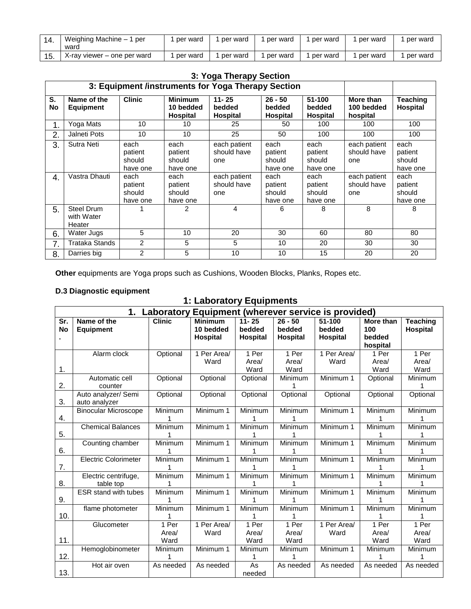| Weighing Machine - 1 per<br>ward | per ward | per ward | per ward   | per ward | per ward | per ward |
|----------------------------------|----------|----------|------------|----------|----------|----------|
| X-ray viewer – one per ward      | per ward | per ward | 1 per ward | per ward | per ward | per ward |

|               | 3: Yoga Therapy Section            |                                       |                                         |                                                    |                                        |                                       |                                     |                                       |  |  |  |
|---------------|------------------------------------|---------------------------------------|-----------------------------------------|----------------------------------------------------|----------------------------------------|---------------------------------------|-------------------------------------|---------------------------------------|--|--|--|
|               |                                    |                                       |                                         | 3: Equipment /instruments for Yoga Therapy Section |                                        |                                       |                                     |                                       |  |  |  |
| S.<br>No      | Name of the<br><b>Equipment</b>    | <b>Clinic</b>                         | <b>Minimum</b><br>10 bedded<br>Hospital | $11 - 25$<br>bedded<br>Hospital                    | $26 - 50$<br>bedded<br><b>Hospital</b> | 51-100<br>bedded<br>Hospital          | More than<br>100 bedded<br>hospital | Teaching<br><b>Hospital</b>           |  |  |  |
| $\mathbf 1$ . | Yoga Mats                          | 10                                    | 10                                      | 25                                                 | 50                                     | 100                                   | 100                                 | 100                                   |  |  |  |
| 2.            | Jalneti Pots                       | 100                                   | 100                                     | 100                                                |                                        |                                       |                                     |                                       |  |  |  |
| 3.            | Sutra Neti                         | each<br>patient<br>should<br>have one | each<br>patient<br>should<br>have one   | each patient<br>should have<br>one                 | each<br>patient<br>should<br>have one  | each<br>patient<br>should<br>have one | each patient<br>should have<br>one  | each<br>patient<br>should<br>have one |  |  |  |
| 4.            | Vastra Dhauti                      | each<br>patient<br>should<br>have one | each<br>patient<br>should<br>have one   | each patient<br>should have<br>one                 | each<br>patient<br>should<br>have one  | each<br>patient<br>should<br>have one | each patient<br>should have<br>one  | each<br>patient<br>should<br>have one |  |  |  |
| 5.            | Steel Drum<br>with Water<br>Heater |                                       | $\mathfrak{p}$                          | 4                                                  | 6                                      | 8                                     | 8                                   | 8                                     |  |  |  |
| 6.            | Water Jugs                         | 5                                     | 10                                      | 20                                                 | 30                                     | 60                                    | 80                                  | 80                                    |  |  |  |
| 7.            | Trataka Stands                     | 2                                     | 5                                       | 5                                                  | 10                                     | 20                                    | 30                                  | 30                                    |  |  |  |
| 8.            | Darries big                        | 2                                     | 5                                       | 10                                                 | 10                                     | 15                                    | 20                                  | 20                                    |  |  |  |

**Other** equipments are Yoga props such as Cushions, Wooden Blocks, Planks, Ropes etc.

## **D.3 Diagnostic equipment**

# **1: Laboratory Equipments**

|           | 1. Laboratory<br>Equipment (wherever service is provided)                                                          |           |             |                 |                 |             |              |                 |  |  |  |
|-----------|--------------------------------------------------------------------------------------------------------------------|-----------|-------------|-----------------|-----------------|-------------|--------------|-----------------|--|--|--|
| Sr.       | <b>Clinic</b><br><b>Minimum</b><br>51-100<br>Name of the<br>$11 - 25$<br>$26 - 50$<br>More than<br><b>Teaching</b> |           |             |                 |                 |             |              |                 |  |  |  |
| <b>No</b> | <b>Equipment</b>                                                                                                   |           | 10 bedded   | bedded          | bedded          | bedded      | 100          | <b>Hospital</b> |  |  |  |
|           |                                                                                                                    |           | Hospital    | <b>Hospital</b> | <b>Hospital</b> | Hospital    | bedded       |                 |  |  |  |
|           |                                                                                                                    |           |             |                 |                 |             | hospital     |                 |  |  |  |
|           | Alarm clock                                                                                                        | Optional  | 1 Per Area/ | 1 Per           | 1 Per           | 1 Per Area/ | 1 Per        | 1 Per           |  |  |  |
|           |                                                                                                                    |           | Ward        | Area/           | Area/           | Ward        | Area/        | Area/           |  |  |  |
| 1.        |                                                                                                                    |           |             | Ward            | Ward            |             | Ward         | Ward            |  |  |  |
|           | Automatic cell                                                                                                     | Optional  | Optional    | Optional        | Minimum         | Minimum 1   | Optional     | Minimum         |  |  |  |
| 2.        | counter                                                                                                            |           |             |                 |                 |             |              |                 |  |  |  |
|           | Auto analyzer/ Semi                                                                                                | Optional  | Optional    | Optional        | Optional        | Optional    | Optional     | Optional        |  |  |  |
| 3.        | auto analyzer                                                                                                      |           |             |                 |                 |             |              |                 |  |  |  |
|           | <b>Binocular Microscope</b>                                                                                        | Minimum   | Minimum 1   | Minimum         | Minimum         | Minimum 1   | Minimum      | Minimum         |  |  |  |
| 4.        |                                                                                                                    |           |             |                 |                 |             | 1            | 1               |  |  |  |
|           | <b>Chemical Balances</b>                                                                                           | Minimum   | Minimum 1   | Minimum         | Minimum         | Minimum 1   | Minimum      | Minimum         |  |  |  |
| 5.        |                                                                                                                    |           |             |                 |                 |             |              |                 |  |  |  |
|           | Counting chamber                                                                                                   | Minimum   | Minimum 1   | Minimum         | Minimum         | Minimum 1   | Minimum      | Minimum         |  |  |  |
| 6.        |                                                                                                                    | 1         |             |                 |                 |             | 1            | 1               |  |  |  |
|           | <b>Electric Colorimeter</b>                                                                                        | Minimum   | Minimum 1   | Minimum         | Minimum         | Minimum 1   | Minimum      | Minimum         |  |  |  |
| 7.        |                                                                                                                    |           |             |                 |                 |             |              |                 |  |  |  |
|           | Electric centrifuge,                                                                                               | Minimum   | Minimum 1   | Minimum         | Minimum         | Minimum 1   | Minimum      | Minimum         |  |  |  |
| 8.        | table top                                                                                                          |           |             |                 |                 |             |              | 1               |  |  |  |
|           | ESR stand with tubes                                                                                               | Minimum   | Minimum 1   | Minimum         | Minimum         | Minimum 1   | Minimum      | Minimum         |  |  |  |
| 9.        |                                                                                                                    |           |             |                 |                 |             |              |                 |  |  |  |
| 10.       | flame photometer                                                                                                   | Minimum   | Minimum 1   | Minimum         | Minimum         | Minimum 1   | Minimum      | Minimum         |  |  |  |
|           |                                                                                                                    | 1 Per     |             | 1 Per           | 1 Per           |             | 1 Per        | 1 Per           |  |  |  |
|           | Glucometer                                                                                                         |           | 1 Per Area/ |                 |                 | 1 Per Area/ |              |                 |  |  |  |
| 11.       |                                                                                                                    | Area/     | Ward        | Area/           | Area/           | Ward        | Area/        | Area/           |  |  |  |
|           |                                                                                                                    | Ward      |             | Ward            | Ward            |             | Ward         | Ward            |  |  |  |
| 12.       | Hemoglobinometer                                                                                                   | Minimum   | Minimum 1   | Minimum         | Minimum         | Minimum 1   | Minimum<br>1 | Minimum<br>1    |  |  |  |
|           |                                                                                                                    | 1         |             |                 |                 |             |              |                 |  |  |  |
|           | Hot air oven                                                                                                       | As needed | As needed   | As              | As needed       | As needed   | As needed    | As needed       |  |  |  |
| 13.       |                                                                                                                    |           |             | needed          |                 |             |              |                 |  |  |  |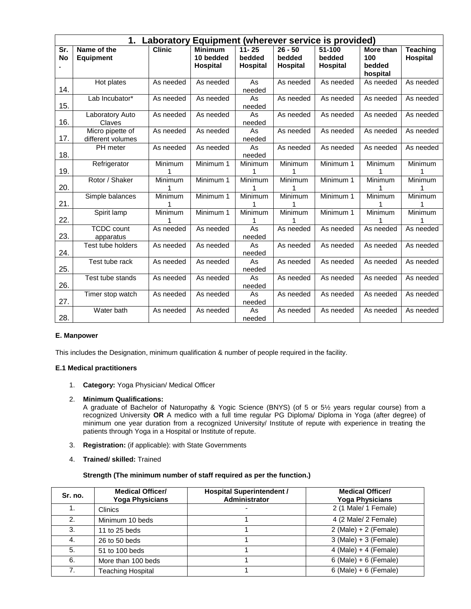|     | 1.<br>Equipment (wherever service is provided)<br>Laboratory |               |                |           |           |           |                |                 |  |  |  |
|-----|--------------------------------------------------------------|---------------|----------------|-----------|-----------|-----------|----------------|-----------------|--|--|--|
| Sr. | Name of the                                                  | <b>Clinic</b> | <b>Minimum</b> | $11 - 25$ | $26 - 50$ | 51-100    | More than      | <b>Teaching</b> |  |  |  |
| No  | <b>Equipment</b>                                             |               | 10 bedded      | bedded    | bedded    | bedded    | 100            | <b>Hospital</b> |  |  |  |
|     |                                                              |               | Hospital       | Hospital  | Hospital  | Hospital  | bedded         |                 |  |  |  |
|     |                                                              |               |                |           |           |           | hospital       |                 |  |  |  |
|     | Hot plates                                                   | As needed     | As needed      | As        | As needed | As needed | As needed      | As needed       |  |  |  |
| 14. |                                                              |               |                | needed    |           |           |                |                 |  |  |  |
|     | Lab Incubator*                                               | As needed     | As needed      | As        | As needed | As needed | As needed      | As needed       |  |  |  |
| 15. |                                                              |               |                | needed    |           |           |                |                 |  |  |  |
|     | Laboratory Auto                                              | As needed     | As needed      | As        | As needed | As needed | As needed      | As needed       |  |  |  |
| 16. | Claves                                                       |               |                | needed    |           |           |                |                 |  |  |  |
|     | Micro pipette of                                             | As needed     | As needed      | As        | As needed | As needed | As needed      | As needed       |  |  |  |
| 17. | different volumes                                            |               |                | needed    |           |           |                |                 |  |  |  |
|     | PH meter                                                     | As needed     | As needed      | As        | As needed | As needed | As needed      | As needed       |  |  |  |
| 18. |                                                              |               |                | needed    |           |           |                |                 |  |  |  |
|     | Refrigerator                                                 | Minimum       | Minimum 1      | Minimum   | Minimum   | Minimum 1 | Minimum        | Minimum         |  |  |  |
| 19. |                                                              | 1             |                | 1         | 1         |           |                |                 |  |  |  |
|     | Rotor / Shaker                                               | Minimum       | Minimum 1      | Minimum   | Minimum   | Minimum 1 | Minimum        | Minimum         |  |  |  |
| 20. |                                                              |               |                |           |           |           |                |                 |  |  |  |
|     | Simple balances                                              | Minimum       | Minimum 1      | Minimum   | Minimum   | Minimum 1 | <b>Minimum</b> | Minimum         |  |  |  |
| 21. |                                                              |               |                |           |           |           |                |                 |  |  |  |
|     | Spirit lamp                                                  | Minimum       | Minimum 1      | Minimum   | Minimum   | Minimum 1 | Minimum        | Minimum         |  |  |  |
| 22. |                                                              |               |                |           |           |           |                |                 |  |  |  |
|     | <b>TCDC</b> count                                            | As needed     | As needed      | As        | As needed | As needed | As needed      | As needed       |  |  |  |
| 23. | apparatus                                                    |               |                | needed    |           |           |                |                 |  |  |  |
|     | Test tube holders                                            | As needed     | As needed      | As        | As needed | As needed | As needed      | As needed       |  |  |  |
| 24. |                                                              |               |                | needed    |           |           |                |                 |  |  |  |
|     | Test tube rack                                               | As needed     | As needed      | As        | As needed | As needed | As needed      | As needed       |  |  |  |
| 25. |                                                              |               |                | needed    |           |           |                |                 |  |  |  |
|     | Test tube stands                                             | As needed     | As needed      | As        | As needed | As needed | As needed      | As needed       |  |  |  |
| 26. |                                                              |               |                | needed    |           |           |                |                 |  |  |  |
|     | Timer stop watch                                             | As needed     | As needed      | As        | As needed | As needed | As needed      | As needed       |  |  |  |
| 27. |                                                              |               |                | needed    |           |           |                |                 |  |  |  |
|     | Water bath                                                   | As needed     | As needed      | As        | As needed | As needed | As needed      | As needed       |  |  |  |
| 28. |                                                              |               |                | needed    |           |           |                |                 |  |  |  |

### **E. Manpower**

This includes the Designation, minimum qualification & number of people required in the facility.

## **E.1 Medical practitioners**

1. **Category:** Yoga Physician/ Medical Officer

#### 2. **Minimum Qualifications:**

A graduate of Bachelor of Naturopathy & Yogic Science (BNYS) (of 5 or 5½ years regular course) from a recognized University **OR** A medico with a full time regular PG Diploma/ Diploma in Yoga (after degree) of minimum one year duration from a recognized University/ Institute of repute with experience in treating the patients through Yoga in a Hospital or Institute of repute.

- 3. **Registration:** (if applicable): with State Governments
- 4. **Trained/ skilled:** Trained

#### **Strength (The minimum number of staff required as per the function.)**

| Sr. no. | <b>Medical Officer/</b><br><b>Yoga Physicians</b> | <b>Hospital Superintendent /</b><br>Administrator | <b>Medical Officer/</b><br><b>Yoga Physicians</b> |
|---------|---------------------------------------------------|---------------------------------------------------|---------------------------------------------------|
| 1.      | Clinics                                           |                                                   | 2 (1 Male/ 1 Female)                              |
| 2.      | Minimum 10 beds                                   |                                                   | 4 (2 Male/ 2 Female)                              |
| 3.      | 11 to 25 beds                                     |                                                   | $2$ (Male) + 2 (Female)                           |
| 4.      | 26 to 50 beds                                     |                                                   | $3$ (Male) + $3$ (Female)                         |
| 5.      | 51 to 100 beds                                    |                                                   | $4$ (Male) + 4 (Female)                           |
| 6.      | More than 100 beds                                |                                                   | $6$ (Male) + $6$ (Female)                         |
| 7.      | <b>Teaching Hospital</b>                          |                                                   | $6$ (Male) + $6$ (Female)                         |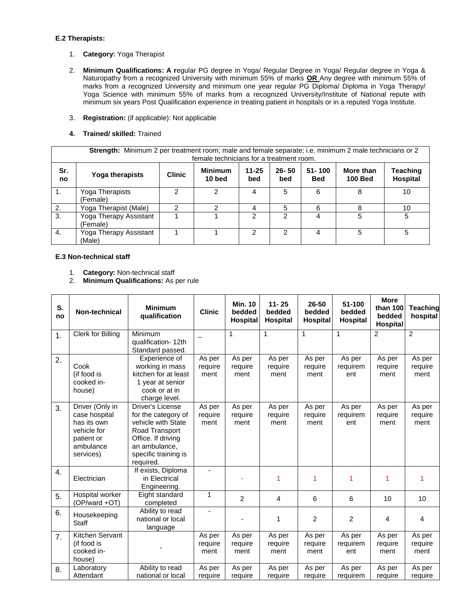#### **E.2 Therapists:**

- 1. **Category:** Yoga Therapist
- 2. **Minimum Qualifications: A r**egular PG degree in Yoga/ Regular Degree in Yoga/ Regular degree in Yoga & Naturopathy from a recognized University with minimum 55% of marks **OR** Any degree with minimum 55% of marks from a recognized University and minimum one year regular PG Diploma/ Diploma in Yoga Therapy/ Yoga Science with minimum 55% of marks from a recognized University/Institute of National repute with minimum six years Post Qualification experience in treating patient in hospitals or in a reputed Yoga Institute.
- 3. **Registration:** (if applicable): Not applicable
- **4. Trained/ skilled:** Trained

|           | Strength: Minimum 2 per treatment room; male and female separate; i.e. minimum 2 male technicians or 2<br>female technicians for a treatment room.                                      |  |   |   |   |   |   |    |  |  |  |
|-----------|-----------------------------------------------------------------------------------------------------------------------------------------------------------------------------------------|--|---|---|---|---|---|----|--|--|--|
| Sr.<br>no | $51 - 100$<br><b>Minimum</b><br>$26 - 50$<br>Teaching<br>$11 - 25$<br>More than<br><b>Clinic</b><br>Yoga therapists<br>Hospital<br>10 bed<br><b>100 Bed</b><br><b>Bed</b><br>bed<br>bed |  |   |   |   |   |   |    |  |  |  |
| -1.       | Yoga Therapists<br>(Female)                                                                                                                                                             |  | 2 | 4 | 5 | 6 |   | 10 |  |  |  |
| 2.        | Yoga Therapist (Male)                                                                                                                                                                   |  | っ | 4 | 5 | 6 |   | 10 |  |  |  |
| 3.        | Yoga Therapy Assistant<br>(Female)                                                                                                                                                      |  |   | 2 | 2 | 4 | 5 | 5  |  |  |  |
| 4.        | Yoga Therapy Assistant<br>(Male)                                                                                                                                                        |  |   | 2 | 2 | Δ | 5 | 5  |  |  |  |

## **E.3 Non-technical staff**

- 1. **Category:** Non-technical staff
- 2. **Minimum Qualifications:** As per rule

| S.<br>no | Non-technical                                                                                          | <b>Minimum</b><br>qualification                                                                                                                                    | <b>Clinic</b>             | <b>Min. 10</b><br>bedded<br><b>Hospital</b> | $11 - 25$<br>bedded<br><b>Hospital</b> | 26-50<br>bedded<br><b>Hospital</b> | 51-100<br>bedded<br><b>Hospital</b> | <b>More</b><br>than 100<br>bedded<br><b>Hospital</b> | Teaching<br>hospital      |
|----------|--------------------------------------------------------------------------------------------------------|--------------------------------------------------------------------------------------------------------------------------------------------------------------------|---------------------------|---------------------------------------------|----------------------------------------|------------------------------------|-------------------------------------|------------------------------------------------------|---------------------------|
| 1.       | Clerk for Billing                                                                                      | Minimum<br>qualification-12th<br>Standard passed.                                                                                                                  |                           | 1                                           | 1                                      | $\mathbf{1}$                       | $\mathbf{1}$                        | $\overline{2}$                                       | $\overline{2}$            |
| 2.       | Cook<br>(if food is<br>cooked in-<br>house)                                                            | Experience of<br>working in mass<br>kitchen for at least<br>1 year at senior<br>cook or at in<br>charge level.                                                     | As per<br>require<br>ment | As per<br>require<br>ment                   | As per<br>require<br>ment              | As per<br>require<br>ment          | As per<br>requirem<br>ent           | As per<br>require<br>ment                            | As per<br>require<br>ment |
| 3.       | Driver (Only in<br>case hospital<br>has its own<br>vehicle for<br>patient or<br>ambulance<br>services) | <b>Driver's License</b><br>for the category of<br>vehicle with State<br>Road Transport<br>Office. If driving<br>an ambulance,<br>specific training is<br>required. | As per<br>require<br>ment | As per<br>require<br>ment                   | As per<br>require<br>ment              | As per<br>require<br>ment          | As per<br>requirem<br>ent           | As per<br>require<br>ment                            | As per<br>require<br>ment |
| 4.       | Electrician                                                                                            | If exists, Diploma<br>in Electrical<br>Engineering.                                                                                                                |                           |                                             | 1                                      | 1                                  | 1                                   | 1                                                    |                           |
| 5.       | Hospital worker<br>(OP/ward +OT)                                                                       | Eight standard<br>completed                                                                                                                                        | 1                         | 2                                           | 4                                      | 6                                  | 6                                   | 10                                                   | 10                        |
| 6.       | Housekeeping<br><b>Staff</b>                                                                           | Ability to read<br>national or local<br>language                                                                                                                   | $\blacksquare$            |                                             | 1                                      | 2                                  | 2                                   | 4                                                    | 4                         |
| 7.       | Kitchen Servant<br>(if food is<br>cooked in-<br>house)                                                 |                                                                                                                                                                    | As per<br>require<br>ment | As per<br>require<br>ment                   | As per<br>require<br>ment              | As per<br>require<br>ment          | As per<br>requirem<br>ent           | As per<br>require<br>ment                            | As per<br>require<br>ment |
| 8.       | Laboratory<br>Attendant                                                                                | Ability to read<br>national or local                                                                                                                               | As per<br>require         | As per<br>require                           | As per<br>require                      | As per<br>require                  | As per<br>requirem                  | As per<br>require                                    | As per<br>require         |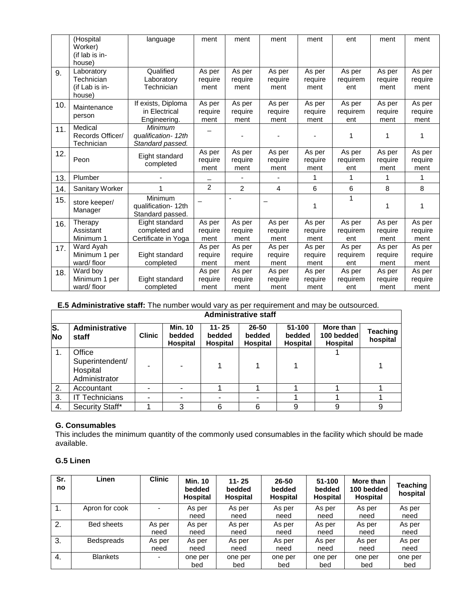|     | (Hospital                 | language                    | ment              | ment              | ment              | ment              | ent                | ment              | ment              |
|-----|---------------------------|-----------------------------|-------------------|-------------------|-------------------|-------------------|--------------------|-------------------|-------------------|
|     | Worker)                   |                             |                   |                   |                   |                   |                    |                   |                   |
|     | (if lab is in-            |                             |                   |                   |                   |                   |                    |                   |                   |
|     | house)                    | Qualified                   |                   |                   |                   |                   |                    |                   |                   |
| 9.  | Laboratory<br>Technician  | Laboratory                  | As per<br>require | As per<br>require | As per<br>require | As per<br>require | As per<br>requirem | As per<br>require | As per<br>require |
|     | (if Lab is in-            | Technician                  | ment              | ment              | ment              | ment              | ent                | ment              | ment              |
|     | house)                    |                             |                   |                   |                   |                   |                    |                   |                   |
| 10. | Maintenance               | If exists, Diploma          | As per            | As per            | As per            | As per            | As per             | As per            | As per            |
|     | person                    | in Electrical               | require           | require           | require           | require           | requirem           | require           | require           |
|     |                           | Engineering.                | ment              | ment              | ment              | ment              | ent                | ment              | ment              |
| 11. | Medical                   | Minimum                     |                   |                   |                   |                   |                    |                   |                   |
|     | Records Officer/          | qualification-12th          |                   |                   |                   |                   | 1                  | 1                 | 1                 |
|     | Technician                | Standard passed.            | As per            | As per            | As per            | As per            | As per             | As per            | As per            |
| 12. | Peon                      | Eight standard              | require           | require           | require           | require           | requirem           | require           | require           |
|     |                           | completed                   | ment              | ment              | ment              | ment              | ent                | ment              | ment              |
| 13. | Plumber                   |                             |                   |                   |                   | 1                 | 1                  | 1                 | 1                 |
| 14. | <b>Sanitary Worker</b>    |                             | 2                 | 2                 | 4                 | 6                 | 6                  | 8                 | 8                 |
| 15. | store keeper/             | Minimum                     |                   | ٠                 |                   |                   | 1                  |                   |                   |
|     | Manager                   | qualification-12th          |                   |                   |                   | 1                 |                    | 1                 | 1                 |
|     |                           | Standard passed.            |                   |                   |                   |                   |                    |                   |                   |
| 16. | Therapy                   | Eight standard              | As per            | As per            | As per            | As per            | As per             | As per            | As per            |
|     | Assistant                 | completed and               | require           | require           | require           | require           | requirem           | require           | require           |
|     | Minimum 1                 | Certificate in Yoga         | ment              | ment              | ment              | ment              | ent                | ment              | ment              |
| 17. | Ward Ayah                 |                             | As per            | As per            | As per            | As per            | As per             | As per            | As per            |
|     | Minimum 1 per             | Eight standard              | require           | require           | require           | require           | requirem           | require           | require           |
|     | ward/floor                | completed                   | ment              | ment              | ment              | ment              | ent                | ment              | ment              |
| 18. | Ward boy<br>Minimum 1 per |                             | As per            | As per            | As per            | As per            | As per             | As per            | As per            |
|     | ward/floor                | Eight standard<br>completed | require<br>ment   | require<br>ment   | require<br>ment   | require<br>ment   | requirem<br>ent    | require<br>ment   | require<br>ment   |
|     |                           |                             |                   |                   |                   |                   |                    |                   |                   |

## **E.5 Administrative staff:** The number would vary as per requirement and may be outsourced.

| <b>Administrative staff</b>            |                                                        |               |                                             |                                        |                                    |                              |                                     |                      |
|----------------------------------------|--------------------------------------------------------|---------------|---------------------------------------------|----------------------------------------|------------------------------------|------------------------------|-------------------------------------|----------------------|
| $\overline{\mathbf{s}}$ .<br><b>No</b> | <b>Administrative</b><br>staff                         | <b>Clinic</b> | <b>Min. 10</b><br>bedded<br><b>Hospital</b> | $11 - 25$<br>bedded<br><b>Hospital</b> | 26-50<br>bedded<br><b>Hospital</b> | 51-100<br>bedded<br>Hospital | More than<br>100 bedded<br>Hospital | Teaching<br>hospital |
| 1.                                     | Office<br>Superintendent/<br>Hospital<br>Administrator |               |                                             |                                        |                                    |                              |                                     |                      |
| 2.                                     | Accountant                                             |               |                                             |                                        |                                    |                              |                                     |                      |
| 3.                                     | Technicians                                            |               |                                             |                                        |                                    |                              |                                     |                      |
| 4.                                     | Security Staff*                                        |               | 3                                           | 6                                      | 6                                  | 9                            | 9                                   | 9                    |

## **G. Consumables**

This includes the minimum quantity of the commonly used consumables in the facility which should be made available.

## **G.5 Linen**

| Sr.<br>no      | Linen             | <b>Clinic</b> | <b>Min. 10</b><br>bedded<br>Hospital | $11 - 25$<br>bedded<br><b>Hospital</b> | $26 - 50$<br>bedded<br><b>Hospital</b> | 51-100<br>bedded<br><b>Hospital</b> | More than<br>100 bedded<br><b>Hospital</b> | <b>Teaching</b><br>hospital |
|----------------|-------------------|---------------|--------------------------------------|----------------------------------------|----------------------------------------|-------------------------------------|--------------------------------------------|-----------------------------|
| $\mathbf{1}$ . | Apron for cook    |               | As per                               | As per                                 | As per                                 | As per                              | As per                                     | As per                      |
|                |                   |               | need                                 | need                                   | need                                   | need                                | need                                       | need                        |
| 2.             | <b>Bed sheets</b> | As per        | As per                               | As per                                 | As per                                 | As per                              | As per                                     | As per                      |
|                |                   | need          | need                                 | need                                   | need                                   | need                                | need                                       | need                        |
| 3.             | <b>Bedspreads</b> | As per        | As per                               | As per                                 | As per                                 | As per                              | As per                                     | As per                      |
|                |                   | need          | need                                 | need                                   | need                                   | need                                | need                                       | need                        |
| 4.             | <b>Blankets</b>   |               | one per                              | one per                                | one per                                | one per                             | one per                                    | one per                     |
|                |                   |               | bed                                  | bed                                    | bed                                    | bed                                 | bed                                        | bed                         |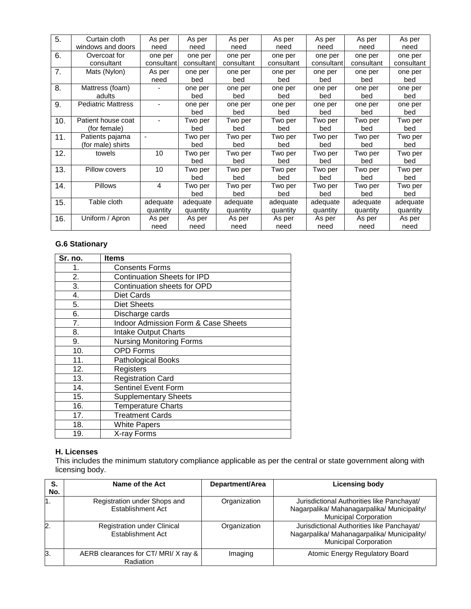| 5.  | Curtain cloth             | As per         | As per     | As per     | As per     | As per     | As per     | As per     |
|-----|---------------------------|----------------|------------|------------|------------|------------|------------|------------|
|     | windows and doors         | need           | need       | need       | need       | need       | need       | need       |
| 6.  | Overcoat for              | one per        | one per    | one per    | one per    | one per    | one per    | one per    |
|     | consultant                | consultant     | consultant | consultant | consultant | consultant | consultant | consultant |
| 7.  | Mats (Nylon)              | As per         | one per    | one per    | one per    | one per    | one per    | one per    |
|     |                           | need           | bed        | bed        | bed        | bed        | bed        | bed        |
| 8.  | Mattress (foam)           |                | one per    | one per    | one per    | one per    | one per    | one per    |
|     | adults                    |                | bed        | bed        | bed        | bed        | bed        | bed        |
| 9.  | <b>Pediatric Mattress</b> |                | one per    | one per    | one per    | one per    | one per    | one per    |
|     |                           |                | bed        | bed        | bed        | bed        | bed        | bed        |
| 10. | Patient house coat        |                | Two per    | Two per    | Two per    | Two per    | Two per    | Two per    |
|     | (for female)              |                | bed        | bed        | bed        | bed        | bed        | bed        |
| 11. | Patients pajama           | $\blacksquare$ | Two per    | Two per    | Two per    | Two per    | Two per    | Two per    |
|     | (for male) shirts         |                | bed        | bed        | bed        | bed        | bed        | bed        |
| 12. | towels                    | 10             | Two per    | Two per    | Two per    | Two per    | Two per    | Two per    |
|     |                           |                | bed        | bed        | bed        | bed        | bed        | bed        |
| 13. | Pillow covers             | 10             | Two per    | Two per    | Two per    | Two per    | Two per    | Two per    |
|     |                           |                | bed        | bed        | bed        | bed        | bed        | bed        |
| 14. | <b>Pillows</b>            | 4              | Two per    | Two per    | Two per    | Two per    | Two per    | Two per    |
|     |                           |                | bed        | bed        | bed        | bed        | bed        | bed        |
| 15. | Table cloth               | adequate       | adequate   | adequate   | adequate   | adequate   | adequate   | adequate   |
|     |                           | quantity       | quantity   | quantity   | quantity   | quantity   | quantity   | quantity   |
| 16. | Uniform / Apron           | As per         | As per     | As per     | As per     | As per     | As per     | As per     |
|     |                           | need           | need       | need       | need       | need       | need       | need       |

## **G.6 Stationary**

| Sr. no. | <b>Items</b>                        |  |  |  |
|---------|-------------------------------------|--|--|--|
| 1.      | <b>Consents Forms</b>               |  |  |  |
| 2.      | <b>Continuation Sheets for IPD</b>  |  |  |  |
| 3.      | Continuation sheets for OPD         |  |  |  |
| 4.      | Diet Cards                          |  |  |  |
| 5.      | <b>Diet Sheets</b>                  |  |  |  |
| 6.      | Discharge cards                     |  |  |  |
| 7.      | Indoor Admission Form & Case Sheets |  |  |  |
| 8.      | <b>Intake Output Charts</b>         |  |  |  |
| 9.      | <b>Nursing Monitoring Forms</b>     |  |  |  |
| 10.     | <b>OPD Forms</b>                    |  |  |  |
| 11.     | <b>Pathological Books</b>           |  |  |  |
| 12.     | Registers                           |  |  |  |
| 13.     | <b>Registration Card</b>            |  |  |  |
| 14.     | Sentinel Event Form                 |  |  |  |
| 15.     | <b>Supplementary Sheets</b>         |  |  |  |
| 16.     | <b>Temperature Charts</b>           |  |  |  |
| 17.     | <b>Treatment Cards</b>              |  |  |  |
| 18.     | <b>White Papers</b>                 |  |  |  |
| 19.     | X-ray Forms                         |  |  |  |

## **H. Licenses**

This includes the minimum statutory compliance applicable as per the central or state government along with licensing body.

| S.<br>No. | Name of the Act                                          | Department/Area | <b>Licensing body</b>                                                                                                     |
|-----------|----------------------------------------------------------|-----------------|---------------------------------------------------------------------------------------------------------------------------|
|           | Registration under Shops and<br><b>Establishment Act</b> | Organization    | Jurisdictional Authorities like Panchayat/<br>Nagarpalika/ Mahanagarpalika/ Municipality/<br><b>Municipal Corporation</b> |
| 2.        | <b>Registration under Clinical</b><br>Establishment Act  | Organization    | Jurisdictional Authorities like Panchayat/<br>Nagarpalika/ Mahanagarpalika/ Municipality/<br><b>Municipal Corporation</b> |
| ß.        | AERB clearances for CT/MRI/X ray &<br>Radiation          | Imaging         | Atomic Energy Regulatory Board                                                                                            |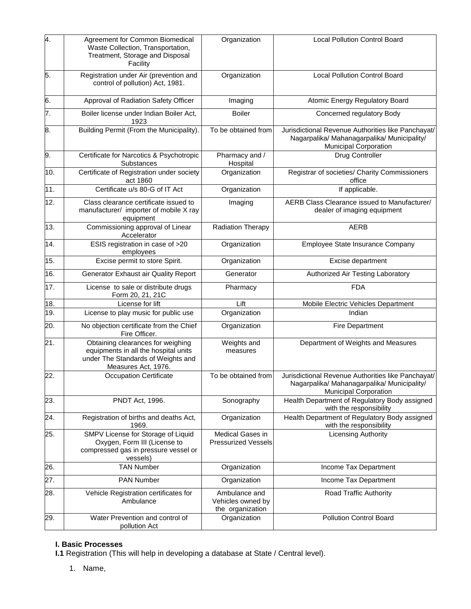| 4.  | Agreement for Common Biomedical<br>Waste Collection, Transportation,<br>Treatment, Storage and Disposal<br>Facility                    | Organization                                           | <b>Local Pollution Control Board</b>                                                                                       |
|-----|----------------------------------------------------------------------------------------------------------------------------------------|--------------------------------------------------------|----------------------------------------------------------------------------------------------------------------------------|
| 5.  | Registration under Air (prevention and<br>control of pollution) Act, 1981.                                                             | Organization                                           | <b>Local Pollution Control Board</b>                                                                                       |
| 6.  | Approval of Radiation Safety Officer                                                                                                   | Imaging                                                | Atomic Energy Regulatory Board                                                                                             |
| 7.  | Boiler license under Indian Boiler Act,<br>1923                                                                                        | <b>Boiler</b>                                          | Concerned regulatory Body                                                                                                  |
| 8.  | Building Permit (From the Municipality).                                                                                               | To be obtained from                                    | Jurisdictional Revenue Authorities like Panchayat/<br>Nagarpalika/ Mahanagarpalika/ Municipality/<br>Municipal Corporation |
| 9.  | Certificate for Narcotics & Psychotropic<br>Substances                                                                                 | Pharmacy and /<br>Hospital                             | Drug Controller                                                                                                            |
| 10. | Certificate of Registration under society<br>act 1860                                                                                  | Organization                                           | Registrar of societies/ Charity Commissioners<br>office                                                                    |
| 11. | Certificate u/s 80-G of IT Act                                                                                                         | Organization                                           | If applicable.                                                                                                             |
| 12. | Class clearance certificate issued to<br>manufacturer/ importer of mobile X ray<br>equipment                                           | Imaging                                                | AERB Class Clearance issued to Manufacturer/<br>dealer of imaging equipment                                                |
| 13. | Commissioning approval of Linear<br>Accelerator                                                                                        | Radiation Therapy                                      | <b>AERB</b>                                                                                                                |
| 14. | ESIS registration in case of >20<br>employees                                                                                          | Organization                                           | Employee State Insurance Company                                                                                           |
| 15. | Excise permit to store Spirit.                                                                                                         | Organization                                           | Excise department                                                                                                          |
| 16. | Generator Exhaust air Quality Report                                                                                                   | Generator                                              | Authorized Air Testing Laboratory                                                                                          |
| 17. | License to sale or distribute drugs<br>Form 20, 21, 21C                                                                                | Pharmacy                                               | <b>FDA</b>                                                                                                                 |
| 18. | License for lift                                                                                                                       | Lift                                                   | Mobile Electric Vehicles Department                                                                                        |
| 19. | License to play music for public use                                                                                                   | Organization                                           | Indian                                                                                                                     |
| 20. | No objection certificate from the Chief<br>Fire Officer.                                                                               | Organization                                           | <b>Fire Department</b>                                                                                                     |
| 21. | Obtaining clearances for weighing<br>equipments in all the hospital units<br>under The Standards of Weights and<br>Measures Act, 1976. | Weights and<br>measures                                | Department of Weights and Measures                                                                                         |
| 22. | Occupation Certificate                                                                                                                 | To be obtained from                                    | Jurisdictional Revenue Authorities like Panchayat/<br>Nagarpalika/ Mahanagarpalika/ Municipality/<br>Municipal Corporation |
| 23. | PNDT Act, 1996.                                                                                                                        | Sonography                                             | Health Department of Regulatory Body assigned<br>with the responsibility                                                   |
| 24. | Registration of births and deaths Act,<br>1969.                                                                                        | Organization                                           | Health Department of Regulatory Body assigned<br>with the responsibility                                                   |
| 25. | SMPV License for Storage of Liquid<br>Oxygen, Form III (License to<br>compressed gas in pressure vessel or<br>vessels)                 | Medical Gases in<br><b>Pressurized Vessels</b>         | <b>Licensing Authority</b>                                                                                                 |
| 26. | <b>TAN Number</b>                                                                                                                      | Organization                                           | Income Tax Department                                                                                                      |
| 27. | PAN Number                                                                                                                             | Organization                                           | Income Tax Department                                                                                                      |
| 28. | Vehicle Registration certificates for<br>Ambulance                                                                                     | Ambulance and<br>Vehicles owned by<br>the organization | Road Traffic Authority                                                                                                     |
| 29. | Water Prevention and control of<br>pollution Act                                                                                       | Organization                                           | <b>Pollution Control Board</b>                                                                                             |

## **I. Basic Processes**

**I.1** Registration (This will help in developing a database at State / Central level).

1. Name,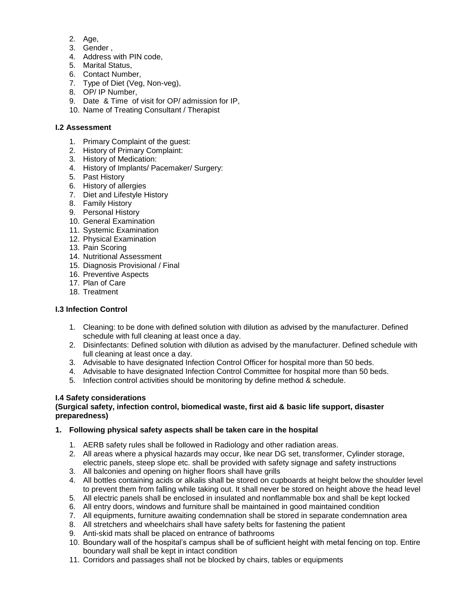- 2. Age,
- 3. Gender ,
- 4. Address with PIN code.
- 5. Marital Status,
- 6. Contact Number,
- 7. Type of Diet (Veg, Non-veg),
- 8. OP/ IP Number,
- 9. Date & Time of visit for OP/ admission for IP,
- 10. Name of Treating Consultant / Therapist

## **I.2 Assessment**

- 1. Primary Complaint of the guest:
- 2. History of Primary Complaint:
- 3. History of Medication:
- 4. History of Implants/ Pacemaker/ Surgery:
- 5. Past History
- 6. History of allergies
- 7. Diet and Lifestyle History
- 8. Family History
- 9. Personal History
- 10. General Examination
- 11. Systemic Examination
- 12. Physical Examination
- 13. Pain Scoring
- 14. Nutritional Assessment
- 15. Diagnosis Provisional / Final
- 16. Preventive Aspects
- 17. Plan of Care
- 18. Treatment

## **I.3 Infection Control**

- 1. Cleaning: to be done with defined solution with dilution as advised by the manufacturer. Defined schedule with full cleaning at least once a day.
- 2. Disinfectants: Defined solution with dilution as advised by the manufacturer. Defined schedule with full cleaning at least once a day.
- 3. Advisable to have designated Infection Control Officer for hospital more than 50 beds.
- 4. Advisable to have designated Infection Control Committee for hospital more than 50 beds.
- 5. Infection control activities should be monitoring by define method & schedule.

## **I.4 Safety considerations**

## **(Surgical safety, infection control, biomedical waste, first aid & basic life support, disaster preparedness)**

## **1. Following physical safety aspects shall be taken care in the hospital**

- 1. AERB safety rules shall be followed in Radiology and other radiation areas.
- 2. All areas where a physical hazards may occur, like near DG set, transformer, Cylinder storage, electric panels, steep slope etc. shall be provided with safety signage and safety instructions
- 3. All balconies and opening on higher floors shall have grills
- 4. All bottles containing acids or alkalis shall be stored on cupboards at height below the shoulder level to prevent them from falling while taking out. It shall never be stored on height above the head level
- 5. All electric panels shall be enclosed in insulated and nonflammable box and shall be kept locked
- 6. All entry doors, windows and furniture shall be maintained in good maintained condition
- 7. All equipments, furniture awaiting condemnation shall be stored in separate condemnation area
- 8. All stretchers and wheelchairs shall have safety belts for fastening the patient
- 9. Anti-skid mats shall be placed on entrance of bathrooms
- 10. Boundary wall of the hospital's campus shall be of sufficient height with metal fencing on top. Entire boundary wall shall be kept in intact condition
- 11. Corridors and passages shall not be blocked by chairs, tables or equipments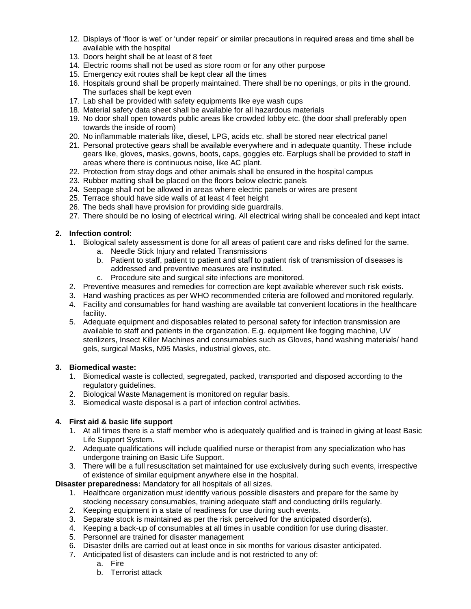- 12. Displays of 'floor is wet' or 'under repair' or similar precautions in required areas and time shall be available with the hospital
- 13. Doors height shall be at least of 8 feet
- 14. Electric rooms shall not be used as store room or for any other purpose
- 15. Emergency exit routes shall be kept clear all the times
- 16. Hospitals ground shall be properly maintained. There shall be no openings, or pits in the ground. The surfaces shall be kept even
- 17. Lab shall be provided with safety equipments like eye wash cups
- 18. Material safety data sheet shall be available for all hazardous materials
- 19. No door shall open towards public areas like crowded lobby etc. (the door shall preferably open towards the inside of room)
- 20. No inflammable materials like, diesel, LPG, acids etc. shall be stored near electrical panel
- 21. Personal protective gears shall be available everywhere and in adequate quantity. These include gears like, gloves, masks, gowns, boots, caps, goggles etc. Earplugs shall be provided to staff in areas where there is continuous noise, like AC plant.
- 22. Protection from stray dogs and other animals shall be ensured in the hospital campus
- 23. Rubber matting shall be placed on the floors below electric panels
- 24. Seepage shall not be allowed in areas where electric panels or wires are present
- 25. Terrace should have side walls of at least 4 feet height
- 26. The beds shall have provision for providing side guardrails.
- 27. There should be no losing of electrical wiring. All electrical wiring shall be concealed and kept intact

## **2. Infection control:**

- 1. Biological safety assessment is done for all areas of patient care and risks defined for the same.
	- a. Needle Stick Injury and related Transmissions
	- b. Patient to staff, patient to patient and staff to patient risk of transmission of diseases is addressed and preventive measures are instituted.
	- c. Procedure site and surgical site infections are monitored.
- 2. Preventive measures and remedies for correction are kept available wherever such risk exists.
- 3. Hand washing practices as per WHO recommended criteria are followed and monitored regularly.
- 4. Facility and consumables for hand washing are available tat convenient locations in the healthcare facility.
- 5. Adequate equipment and disposables related to personal safety for infection transmission are available to staff and patients in the organization. E.g. equipment like fogging machine, UV sterilizers, Insect Killer Machines and consumables such as Gloves, hand washing materials/ hand gels, surgical Masks, N95 Masks, industrial gloves, etc.

### **3. Biomedical waste:**

- 1. Biomedical waste is collected, segregated, packed, transported and disposed according to the regulatory guidelines.
- 2. Biological Waste Management is monitored on regular basis.
- 3. Biomedical waste disposal is a part of infection control activities.

## **4. First aid & basic life support**

- 1. At all times there is a staff member who is adequately qualified and is trained in giving at least Basic Life Support System.
- 2. Adequate qualifications will include qualified nurse or therapist from any specialization who has undergone training on Basic Life Support.
- 3. There will be a full resuscitation set maintained for use exclusively during such events, irrespective of existence of similar equipment anywhere else in the hospital.

**Disaster preparedness:** Mandatory for all hospitals of all sizes.

- 1. Healthcare organization must identify various possible disasters and prepare for the same by stocking necessary consumables, training adequate staff and conducting drills regularly.
- 2. Keeping equipment in a state of readiness for use during such events.
- 3. Separate stock is maintained as per the risk perceived for the anticipated disorder(s).
- 4. Keeping a back-up of consumables at all times in usable condition for use during disaster.
- 5. Personnel are trained for disaster management
- 6. Disaster drills are carried out at least once in six months for various disaster anticipated.
- 7. Anticipated list of disasters can include and is not restricted to any of:
	- a. Fire
	- b. Terrorist attack